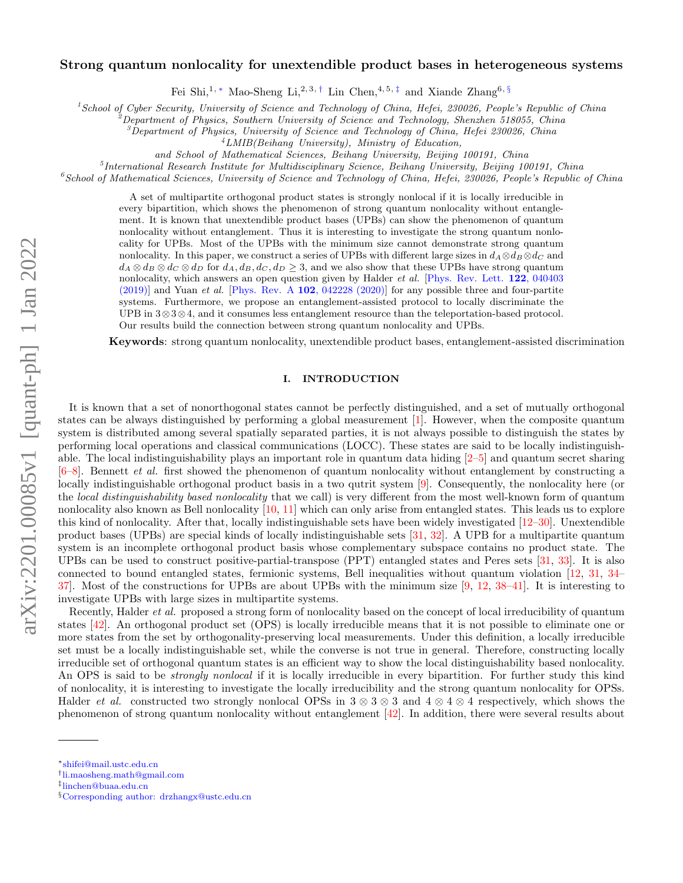# arXiv:2201.00085v1 [quant-ph] 1 Jan 2022 arXiv:2201.00085v1 [quant-ph] 1 Jan 2022

# Strong quantum nonlocality for unextendible product bases in heterogeneous systems

Fei Shi,<sup>1, \*</sup> Mao-Sheng Li,<sup>2,3,[†](#page-0-1)</sup> Lin Chen,<sup>4,5,[‡](#page-0-2)</sup> and Xiande Zhang<sup>6, [§](#page-0-3)</sup>

<sup>1</sup>School of Cyber Security, University of Science and Technology of China, Hefei, 230026, People's Republic of China

<sup>2</sup>Department of Physics, Southern University of Science and Technology, Shenzhen 518055, China

<sup>3</sup>Department of Physics, University of Science and Technology of China, Hefei 230026, China

 $^{4}LMIB(Behang University)$ , Ministry of Education,

and School of Mathematical Sciences, Beihang University, Beijing 100191, China

<sup>5</sup>International Research Institute for Multidisciplinary Science, Beihang University, Beijing 100191, China

 $^6$ School of Mathematical Sciences, University of Science and Technology of China, Hefei, 230026, People's Republic of China

A set of multipartite orthogonal product states is strongly nonlocal if it is locally irreducible in every bipartition, which shows the phenomenon of strong quantum nonlocality without entanglement. It is known that unextendible product bases (UPBs) can show the phenomenon of quantum nonlocality without entanglement. Thus it is interesting to investigate the strong quantum nonlocality for UPBs. Most of the UPBs with the minimum size cannot demonstrate strong quantum nonlocality. In this paper, we construct a series of UPBs with different large sizes in  $d_A \otimes d_B \otimes d_C$  and  $d_A \otimes d_B \otimes d_C \otimes d_D$  for  $d_A, d_B, d_C, d_D \geq 3$ , and we also show that these UPBs have strong quantum nonlocality, which answers an open question given by Halder et al. [\[Phys. Rev. Lett.](https://journals.aps.org/prl/abstract/10.1103/PhysRevLett.122.040403) 122, 040403  $(2019)$ ] and Yuan *et al.* [Phys. Rev. A 102[, 042228 \(2020\)\]](https://journals.aps.org/pra/abstract/10.1103/PhysRevA.102.042228) for any possible three and four-partite systems. Furthermore, we propose an entanglement-assisted protocol to locally discriminate the UPB in 3⊗3⊗4, and it consumes less entanglement resource than the teleportation-based protocol. Our results build the connection between strong quantum nonlocality and UPBs.

Keywords: strong quantum nonlocality, unextendible product bases, entanglement-assisted discrimination

### I. INTRODUCTION

It is known that a set of nonorthogonal states cannot be perfectly distinguished, and a set of mutually orthogonal states can be always distinguished by performing a global measurement [\[1\]](#page-15-0). However, when the composite quantum system is distributed among several spatially separated parties, it is not always possible to distinguish the states by performing local operations and classical communications (LOCC). These states are said to be locally indistinguishable. The local indistinguishability plays an important role in quantum data hiding [\[2–](#page-15-1)[5\]](#page-15-2) and quantum secret sharing  $[6–8]$  $[6–8]$ . Bennett *et al.* first showed the phenomenon of quantum nonlocality without entanglement by constructing a locally indistinguishable orthogonal product basis in a two qutrit system [\[9\]](#page-15-5). Consequently, the nonlocality here (or the local distinguishability based nonlocality that we call) is very different from the most well-known form of quantum nonlocality also known as Bell nonlocality [\[10,](#page-15-6) [11\]](#page-15-7) which can only arise from entangled states. This leads us to explore this kind of nonlocality. After that, locally indistinguishable sets have been widely investigated [\[12–](#page-15-8)[30\]](#page-16-0). Unextendible product bases (UPBs) are special kinds of locally indistinguishable sets [\[31,](#page-16-1) [32\]](#page-16-2). A UPB for a multipartite quantum system is an incomplete orthogonal product basis whose complementary subspace contains no product state. The UPBs can be used to construct positive-partial-transpose (PPT) entangled states and Peres sets [\[31,](#page-16-1) [33\]](#page-16-3). It is also connected to bound entangled states, fermionic systems, Bell inequalities without quantum violation [\[12,](#page-15-8) [31,](#page-16-1) [34–](#page-16-4)  $37$ . Most of the constructions for UPBs are about UPBs with the minimum size  $[9, 12, 38-41]$  $[9, 12, 38-41]$  $[9, 12, 38-41]$  $[9, 12, 38-41]$  $[9, 12, 38-41]$ . It is interesting to investigate UPBs with large sizes in multipartite systems.

Recently, Halder et al. proposed a strong form of nonlocality based on the concept of local irreducibility of quantum states [\[42\]](#page-16-8). An orthogonal product set (OPS) is locally irreducible means that it is not possible to eliminate one or more states from the set by orthogonality-preserving local measurements. Under this definition, a locally irreducible set must be a locally indistinguishable set, while the converse is not true in general. Therefore, constructing locally irreducible set of orthogonal quantum states is an efficient way to show the local distinguishability based nonlocality. An OPS is said to be *strongly nonlocal* if it is locally irreducible in every bipartition. For further study this kind of nonlocality, it is interesting to investigate the locally irreducibility and the strong quantum nonlocality for OPSs. Halder et al. constructed two strongly nonlocal OPSs in  $3 \otimes 3 \otimes 3$  and  $4 \otimes 4 \otimes 4$  respectively, which shows the phenomenon of strong quantum nonlocality without entanglement [\[42\]](#page-16-8). In addition, there were several results about

<span id="page-0-0"></span><sup>∗</sup>[shifei@mail.ustc.edu.cn](mailto:shifei@mail.ustc.edu.cn)

<span id="page-0-1"></span><sup>†</sup> [li.maosheng.math@gmail.com](mailto:li.maosheng.math@gmail.com)

<span id="page-0-2"></span><sup>‡</sup> [linchen@buaa.edu.cn](mailto:linchen@buaa.edu.cn)

<span id="page-0-3"></span><sup>§</sup>[Corresponding author: drzhangx@ustc.edu.cn](mailto:Corresponding author: drzhangx@ustc.edu.cn)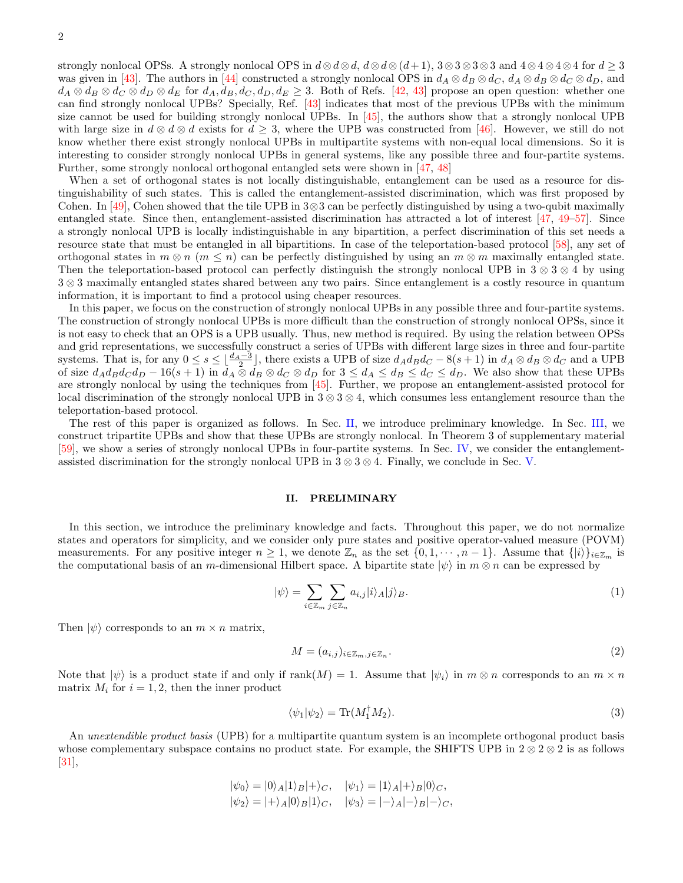strongly nonlocal OPSs. A strongly nonlocal OPS in  $d \otimes d \otimes d$ ,  $d \otimes d \otimes (d+1)$ , 3 $\otimes$ 3 $\otimes$ 3 $\otimes$ 3 and 4 $\otimes$ 4 $\otimes$ 4 $\otimes$ 4 for  $d \geq 3$ was given in [\[43\]](#page-16-9). The authors in [\[44\]](#page-16-10) constructed a strongly nonlocal OPS in  $d_A \otimes d_B \otimes d_C$ ,  $d_A \otimes d_B \otimes d_C \otimes d_D$ , and  $d_A \otimes d_B \otimes d_C \otimes d_D \otimes d_E$  for  $d_A, d_B, d_C, d_D, d_E \geq 3$ . Both of Refs. [\[42,](#page-16-8) [43\]](#page-16-9) propose an open question: whether one can find strongly nonlocal UPBs? Specially, Ref. [\[43\]](#page-16-9) indicates that most of the previous UPBs with the minimum size cannot be used for building strongly nonlocal UPBs. In [\[45\]](#page-16-11), the authors show that a strongly nonlocal UPB with large size in  $d \otimes d \otimes d$  exists for  $d \geq 3$ , where the UPB was constructed from [\[46\]](#page-16-12). However, we still do not know whether there exist strongly nonlocal UPBs in multipartite systems with non-equal local dimensions. So it is interesting to consider strongly nonlocal UPBs in general systems, like any possible three and four-partite systems. Further, some strongly nonlocal orthogonal entangled sets were shown in [\[47,](#page-16-13) [48\]](#page-16-14)

When a set of orthogonal states is not locally distinguishable, entanglement can be used as a resource for distinguishability of such states. This is called the entanglement-assisted discrimination, which was first proposed by Cohen. In [\[49\]](#page-16-15), Cohen showed that the tile UPB in  $3 \otimes 3$  can be perfectly distinguished by using a two-qubit maximally entangled state. Since then, entanglement-assisted discrimination has attracted a lot of interest [\[47,](#page-16-13) [49–](#page-16-15)[57\]](#page-17-0). Since a strongly nonlocal UPB is locally indistinguishable in any bipartition, a perfect discrimination of this set needs a resource state that must be entangled in all bipartitions. In case of the teleportation-based protocol [\[58\]](#page-17-1), any set of orthogonal states in  $m \otimes n$  ( $m \leq n$ ) can be perfectly distinguished by using an  $m \otimes m$  maximally entangled state. Then the teleportation-based protocol can perfectly distinguish the strongly nonlocal UPB in  $3 \otimes 3 \otimes 4$  by using 3 ⊗ 3 maximally entangled states shared between any two pairs. Since entanglement is a costly resource in quantum information, it is important to find a protocol using cheaper resources.

In this paper, we focus on the construction of strongly nonlocal UPBs in any possible three and four-partite systems. The construction of strongly nonlocal UPBs is more difficult than the construction of strongly nonlocal OPSs, since it is not easy to check that an OPS is a UPB usually. Thus, new method is required. By using the relation between OPSs and grid representations, we successfully construct a series of UPBs with different large sizes in three and four-partite systems. That is, for any  $0 \le s \le \lfloor \frac{d_A-3}{2} \rfloor$ , there exists a UPB of size  $d_A d_B d_C - 8(s+1)$  in  $d_A \otimes d_B \otimes d_C$  and a UPB of size  $d_A d_B d_C d_D - 16(s + 1)$  in  $d_A \otimes d_B \otimes d_C \otimes d_D$  for  $3 \leq d_A \leq d_B \leq d_C \leq d_D$ . We also show that these UPBs are strongly nonlocal by using the techniques from [\[45\]](#page-16-11). Further, we propose an entanglement-assisted protocol for local discrimination of the strongly nonlocal UPB in  $3 \otimes 3 \otimes 4$ , which consumes less entanglement resource than the teleportation-based protocol.

The rest of this paper is organized as follows. In Sec. [II,](#page-1-0) we introduce preliminary knowledge. In Sec. [III,](#page-2-0) we construct tripartite UPBs and show that these UPBs are strongly nonlocal. In Theorem 3 of supplementary material [\[59\]](#page-17-2), we show a series of strongly nonlocal UPBs in four-partite systems. In Sec. [IV,](#page-6-0) we consider the entanglementassisted discrimination for the strongly nonlocal UPB in  $3 \otimes 3 \otimes 4$ . Finally, we conclude in Sec. [V.](#page-7-0)

# <span id="page-1-0"></span>II. PRELIMINARY

In this section, we introduce the preliminary knowledge and facts. Throughout this paper, we do not normalize states and operators for simplicity, and we consider only pure states and positive operator-valued measure (POVM) measurements. For any positive integer  $n \geq 1$ , we denote  $\mathbb{Z}_n$  as the set  $\{0, 1, \dots, n-1\}$ . Assume that  $\{|i\rangle\}_{i \in \mathbb{Z}_m}$  is the computational basis of an m-dimensional Hilbert space. A bipartite state  $|\psi\rangle$  in  $m \otimes n$  can be expressed by

$$
|\psi\rangle = \sum_{i \in \mathbb{Z}_m} \sum_{j \in \mathbb{Z}_n} a_{i,j} |i\rangle_A |j\rangle_B.
$$
 (1)

Then  $|\psi\rangle$  corresponds to an  $m \times n$  matrix,

$$
M = (a_{i,j})_{i \in \mathbb{Z}_m, j \in \mathbb{Z}_n}.
$$
\n
$$
(2)
$$

Note that  $|\psi\rangle$  is a product state if and only if  $rank(M) = 1$ . Assume that  $|\psi_i\rangle$  in  $m \otimes n$  corresponds to an  $m \times n$ matrix  $M_i$  for  $i = 1, 2$ , then the inner product

$$
\langle \psi_1 | \psi_2 \rangle = \text{Tr}(M_1^{\dagger} M_2). \tag{3}
$$

An unextendible product basis (UPB) for a multipartite quantum system is an incomplete orthogonal product basis whose complementary subspace contains no product state. For example, the SHIFTS UPB in  $2 \otimes 2 \otimes 2$  is as follows [\[31\]](#page-16-1),

$$
|\psi_0\rangle = |0\rangle_A|1\rangle_B|+\rangle_C, \quad |\psi_1\rangle = |1\rangle_A|+\rangle_B|0\rangle_C, |\psi_2\rangle = |+\rangle_A|0\rangle_B|1\rangle_C, \quad |\psi_3\rangle = |-\rangle_A|-\rangle_B|-\rangle_C,
$$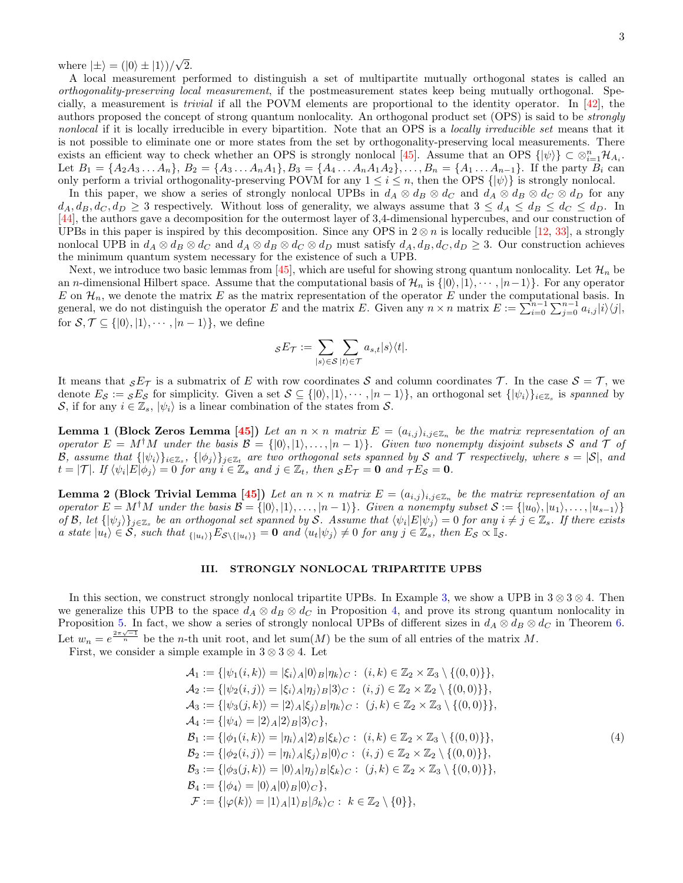where  $|\pm\rangle = (|0\rangle \pm |1\rangle)/\sqrt{2}$ .

A local measurement performed to distinguish a set of multipartite mutually orthogonal states is called an orthogonality-preserving local measurement, if the postmeasurement states keep being mutually orthogonal. Specially, a measurement is trivial if all the POVM elements are proportional to the identity operator. In [\[42\]](#page-16-8), the authors proposed the concept of strong quantum nonlocality. An orthogonal product set (OPS) is said to be strongly nonlocal if it is locally irreducible in every bipartition. Note that an OPS is a locally irreducible set means that it is not possible to eliminate one or more states from the set by orthogonality-preserving local measurements. There exists an efficient way to check whether an OPS is strongly nonlocal [\[45\]](#page-16-11). Assume that an OPS  $\{|\psi\rangle\} \subset \otimes_{i=1}^n \mathcal{H}_{A_i}$ . Let  $B_1 = \{A_2A_3 \ldots A_n\}, B_2 = \{A_3 \ldots A_nA_1\}, B_3 = \{A_4 \ldots A_nA_1A_2\}, \ldots, B_n = \{A_1 \ldots A_{n-1}\}.$  If the party  $B_i$  can only perform a trivial orthogonality-preserving POVM for any  $1 \leq i \leq n$ , then the OPS  $\{|\psi\rangle\}$  is strongly nonlocal.

In this paper, we show a series of strongly nonlocal UPBs in  $d_A \otimes d_B \otimes d_C$  and  $d_A \otimes d_B \otimes d_C \otimes d_D$  for any  $d_A, d_B, d_C, d_D \geq 3$  respectively. Without loss of generality, we always assume that  $3 \leq d_A \leq d_B \leq d_C \leq d_D$ . In [\[44\]](#page-16-10), the authors gave a decomposition for the outermost layer of 3,4-dimensional hypercubes, and our construction of UPBs in this paper is inspired by this decomposition. Since any OPS in  $2 \otimes n$  is locally reducible [\[12,](#page-15-8) [33\]](#page-16-3), a strongly nonlocal UPB in  $d_A \otimes d_B \otimes d_C$  and  $d_A \otimes d_B \otimes d_C \otimes d_D$  must satisfy  $d_A, d_B, d_C, d_D \geq 3$ . Our construction achieves the minimum quantum system necessary for the existence of such a UPB.

Next, we introduce two basic lemmas from [\[45\]](#page-16-11), which are useful for showing strong quantum nonlocality. Let  $\mathcal{H}_n$  be an n-dimensional Hilbert space. Assume that the computational basis of  $\mathcal{H}_n$  is  $\{|0\rangle, |1\rangle, \cdots, |n-1\rangle\}$ . For any operator E on  $\mathcal{H}_n$ , we denote the matrix E as the matrix representation of the operator E under the computational basis. In general, we do not distinguish the operator E and the matrix E. Given any  $n \times n$  matrix  $E := \sum_{i=0}^{n-1} \sum_{j=0}^{n-1} a_{i,j} |i\rangle\langle j|$ , for  $S, \mathcal{T} \subseteq \{|0\rangle, |1\rangle, \cdots, |n-1\rangle\}$ , we define

$$
{}_{\mathcal{S}}E_{\mathcal{T}}:=\sum_{|s\rangle\in\mathcal{S}}\sum_{|t\rangle\in\mathcal{T}}a_{s,t}|s\rangle\langle t|.
$$

It means that  ${}_{S}E_{\mathcal{T}}$  is a submatrix of E with row coordinates S and column coordinates T. In the case  $S = \mathcal{T}$ , we denote  $E_{\mathcal{S}} := {}_{\mathcal{S}}E_{\mathcal{S}}$  for simplicity. Given a set  $\mathcal{S} \subseteq \{ |0\rangle, |1\rangle, \cdots, |n-1\rangle \}$ , an orthogonal set  $\{ |\psi_i\rangle \}_{i \in \mathbb{Z}_s}$  is spanned by S, if for any  $i \in \mathbb{Z}_s$ ,  $|\psi_i\rangle$  is a linear combination of the states from S.

**Lemma 1 (Block Zeros Lemma [\[45\]](#page-16-11))** Let an  $n \times n$  matrix  $E = (a_{i,j})_{i,j \in \mathbb{Z}_n}$  be the matrix representation of an operator  $E = M^{\dagger}M$  under the basis  $\mathcal{B} = \{ |0\rangle, |1\rangle, \ldots, |n-1\rangle \}$ . Given two nonempty disjoint subsets S and T of B, assume that  $\{\ket{\psi_i}\}_{i\in\mathbb{Z}_s}$ ,  $\{\ket{\phi_j}\}_{j\in\mathbb{Z}_t}$  are two orthogonal sets spanned by S and T respectively, where  $s = |\mathcal{S}|$ , and  $t = |\mathcal{T}|$ . If  $\langle \psi_i | E | \phi_j \rangle = 0$  for any  $i \in \mathbb{Z}_s$  and  $j \in \mathbb{Z}_t$ , then  $sE_{\mathcal{T}} = \mathbf{0}$  and  $\tau E_{\mathcal{S}} = \mathbf{0}$ .

**Lemma 2 (Block Trivial Lemma [\[45\]](#page-16-11))** Let an  $n \times n$  matrix  $E = (a_{i,j})_{i,j \in \mathbb{Z}_n}$  be the matrix representation of an operator  $E = M^{\dagger}M$  under the basis  $\mathcal{B} = \{ |0\rangle, |1\rangle, \ldots, |n-1\rangle \}$ . Given a nonempty subset  $\mathcal{S} := \{ |u_0\rangle, |u_1\rangle, \ldots, |u_{s-1}\rangle \}$ of B, let  $\{\ket{\psi_j}\}_{j\in\mathbb{Z}_s}$  be an orthogonal set spanned by S. Assume that  $\langle\psi_i|E|\psi_j\rangle=0$  for any  $i\neq j\in\mathbb{Z}_s$ . If there exists a state  $|u_t\rangle \in S$ , such that  $\{ |u_t\rangle \} E_{S\setminus\{|u_t\rangle \}} = 0$  and  $\langle u_t|\psi_j\rangle \neq 0$  for any  $j \in \mathbb{Z}_s$ , then  $E_S \propto \mathbb{I}_S$ .

# <span id="page-2-0"></span>III. STRONGLY NONLOCAL TRIPARTITE UPBS

In this section, we construct strongly nonlocal tripartite UPBs. In Example [3,](#page-3-0) we show a UPB in  $3 \otimes 3 \otimes 4$ . Then we generalize this UPB to the space  $d_A \otimes d_B \otimes d_C$  in Proposition [4,](#page-5-0) and prove its strong quantum nonlocality in Proposition [5.](#page-5-1) In fact, we show a series of strongly nonlocal UPBs of different sizes in  $d_A \otimes d_B \otimes d_C$  in Theorem [6.](#page-6-1) Let  $w_n = e^{\frac{2\pi\sqrt{-1}}{n}}$  be the *n*-th unit root, and let sum(M) be the sum of all entries of the matrix M.

First, we consider a simple example in  $3 \otimes 3 \otimes 4$ . Let

<span id="page-2-1"></span>
$$
\mathcal{A}_1 := \{ |\psi_1(i,k)\rangle = |\xi_i\rangle_A |0\rangle_B |\eta_k\rangle_C : (i,k) \in \mathbb{Z}_2 \times \mathbb{Z}_3 \setminus \{ (0,0) \}, \n\mathcal{A}_2 := \{ |\psi_2(i,j)\rangle = |\xi_i\rangle_A |\eta_j\rangle_B |3\rangle_C : (i,j) \in \mathbb{Z}_2 \times \mathbb{Z}_2 \setminus \{ (0,0) \}, \n\mathcal{A}_3 := \{ |\psi_3(j,k)\rangle = |2\rangle_A |\xi_j\rangle_B |\eta_k\rangle_C : (j,k) \in \mathbb{Z}_2 \times \mathbb{Z}_3 \setminus \{ (0,0) \}, \n\mathcal{A}_4 := \{ |\psi_4\rangle = |2\rangle_A |2\rangle_B |3\rangle_C \}, \n\mathcal{B}_1 := \{ |\phi_1(i,k)\rangle = |\eta_i\rangle_A |2\rangle_B |\xi_k\rangle_C : (i,k) \in \mathbb{Z}_2 \times \mathbb{Z}_3 \setminus \{ (0,0) \}, \n\mathcal{B}_2 := \{ |\phi_2(i,j)\rangle = |\eta_i\rangle_A |\xi_j\rangle_B |0\rangle_C : (i,j) \in \mathbb{Z}_2 \times \mathbb{Z}_2 \setminus \{ (0,0) \} \}, \n\mathcal{B}_3 := \{ |\phi_3(j,k)\rangle = |0\rangle_A |\eta_j\rangle_B |\xi_k\rangle_C : (j,k) \in \mathbb{Z}_2 \times \mathbb{Z}_3 \setminus \{ (0,0) \} \}, \n\mathcal{B}_4 := \{ |\phi_4\rangle = |0\rangle_A |0\rangle_B |0\rangle_C \}, \n\mathcal{F} := \{ |\varphi(k)\rangle = |1\rangle_A |1\rangle_B | \beta_k\rangle_C : k \in \mathbb{Z}_2 \setminus \{ 0 \} \},
$$
\n(4)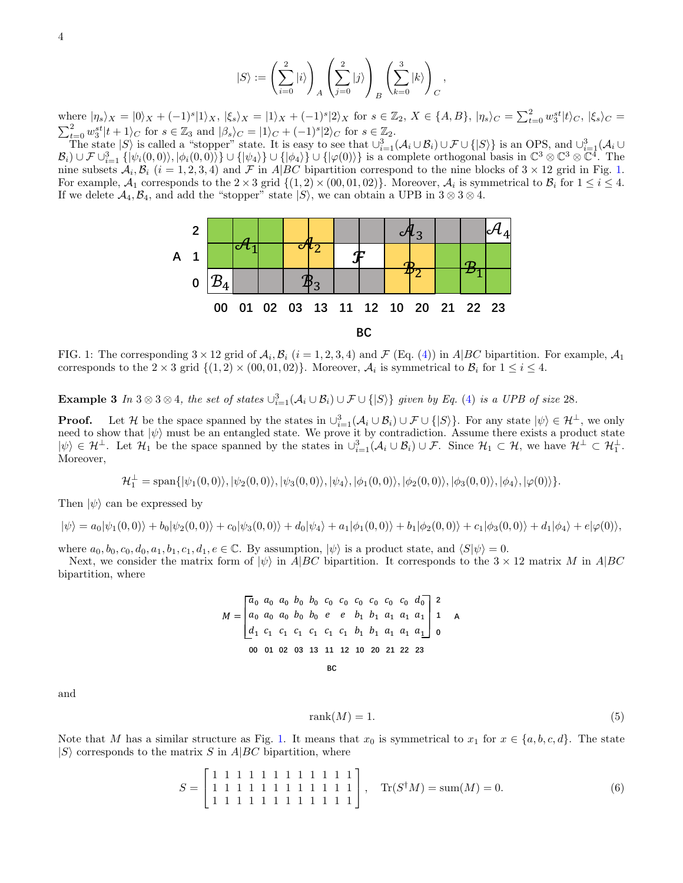$$
|S\rangle:=\left(\sum_{i=0}^2|i\rangle\right)_A\left(\sum_{j=0}^2|j\rangle\right)_B\left(\sum_{k=0}^3|k\rangle\right)_C,
$$

where  $|\eta_s\rangle_X = |0\rangle_X + (-1)^s |1\rangle_X$ ,  $|\xi_s\rangle_X = |1\rangle_X + (-1)^s |2\rangle_X$  for  $s \in \mathbb{Z}_2$ ,  $X \in \{A, B\}$ ,  $|\eta_s\rangle_C = \sum_{t=0}^2 w_3^{st}$ where  $|\eta_s\rangle_X = |0\rangle_X + (-1)^s |1\rangle_X$ ,  $|\xi_s\rangle_X = |1\rangle_X + (-1)^s |2\rangle_X$  for  $s \in \mathbb{Z}_2$ ,  $X \in \{A, B\}$ ,  $|\eta_s\rangle_C = \sum_{t=0}^{\infty} w_3^{st} |t\rangle_C$ ,  $|\xi_s\rangle_C = \sum_{t=0}^{\infty} w_3^{st} |t+1\rangle_C$  for  $s \in \mathbb{Z}_3$  and  $|\beta_s\rangle_C = |1\rangle_C + (-1)^s |2\rangle_C$  for  $s \in \mathbb{Z}_2$ .

<span id="page-3-1"></span>The state  $|S\rangle$  is called a "stopper" state. It is easy to see that  $\cup_{i=1}^{3}(\mathcal{A}_{i}\cup\mathcal{B}_{i})\cup\mathcal{F}\cup\{|S\rangle\}$  is an OPS, and  $\cup_{i=1}^{3}(\mathcal{A}_{i}\cup\mathcal{B}_{i})$  $\mathcal{B}_i$ )  $\cup \mathcal{F} \cup_{i=1}^3 \{|\psi_i(0,0)\rangle, |\phi_i(0,0)\rangle\} \cup \{|\psi_4\rangle\} \cup \{|\phi_4\rangle\} \cup \{|\varphi(0)\rangle\}$  is a complete orthogonal basis in  $\mathbb{C}^3 \otimes \mathbb{C}^3 \otimes \mathbb{C}^4$ . The nine subsets  $A_i, B_i$   $(i = 1, 2, 3, 4)$  and  $\mathcal F$  in A|BC bipartition correspond to the nine blocks of  $3 \times 12$  grid in Fig. [1.](#page-3-1) For example,  $A_1$  corresponds to the  $2 \times 3$  grid  $\{(1, 2) \times (00, 01, 02)\}\)$ . Moreover,  $A_i$  is symmetrical to  $B_i$  for  $1 \le i \le 4$ . If we delete  $A_4, B_4$ , and add the "stopper" state  $|S\rangle$ , we can obtain a UPB in  $3 \otimes 3 \otimes 4$ .



FIG. 1: The corresponding  $3 \times 12$  grid of  $\mathcal{A}_i$ ,  $\mathcal{B}_i$  ( $i = 1, 2, 3, 4$ ) and  $\mathcal{F}$  (Eq. [\(4\)](#page-2-1)) in A|BC bipartition. For example,  $\mathcal{A}_1$ corresponds to the  $2 \times 3$  grid  $\{(1,2) \times (00,01,02)\}\.$  Moreover,  $\mathcal{A}_i$  is symmetrical to  $\mathcal{B}_i$  for  $1 \le i \le 4$ .

<span id="page-3-0"></span>**Example 3** In  $3 \otimes 3 \otimes 4$ , the set of states  $\bigcup_{i=1}^{3} (\mathcal{A}_i \cup \mathcal{B}_i) \cup \mathcal{F} \cup \{ |S\rangle \}$  given by Eq. [\(4\)](#page-2-1) is a UPB of size 28.

**Proof.** Let H be the space spanned by the states in  $\cup_{i=1}^{3} (\mathcal{A}_i \cup \mathcal{B}_i) \cup \mathcal{F} \cup \{ |S \rangle \}$ . For any state  $|\psi \rangle \in \mathcal{H}^{\perp}$ , we only need to show that  $|\psi\rangle$  must be an entangled state. We prove it by contradiction. Assume there exists a product state  $|\psi\rangle \in \mathcal{H}^{\perp}$ . Let  $\mathcal{H}_1$  be the space spanned by the states in  $\cup_{i=1}^3 (\mathcal{A}_i \cup \mathcal{B}_i) \cup \mathcal{F}$ . Since  $\mathcal{H}_1 \subset \mathcal{H}$ , we have  $\mathcal{H}^{\perp} \subset \mathcal{H}_1^{\perp}$ . Moreover,

$$
\mathcal{H}_1^{\perp} = \text{span}\{|\psi_1(0,0)\rangle, |\psi_2(0,0)\rangle, |\psi_3(0,0)\rangle, |\psi_4\rangle, |\phi_1(0,0)\rangle, |\phi_2(0,0)\rangle, |\phi_3(0,0)\rangle, |\phi_4\rangle, |\varphi(0)\rangle\}.
$$

Then  $|\psi\rangle$  can be expressed by

$$
|\psi\rangle = a_0|\psi_1(0,0)\rangle + b_0|\psi_2(0,0)\rangle + c_0|\psi_3(0,0)\rangle + d_0|\psi_4\rangle + a_1|\phi_1(0,0)\rangle + b_1|\phi_2(0,0)\rangle + c_1|\phi_3(0,0)\rangle + d_1|\phi_4\rangle + e|\varphi(0)\rangle,
$$

where  $a_0, b_0, c_0, d_0, a_1, b_1, c_1, d_1, e \in \mathbb{C}$ . By assumption,  $|\psi\rangle$  is a product state, and  $\langle S|\psi\rangle = 0$ .

Next, we consider the matrix form of  $|\psi\rangle$  in A|BC bipartition. It corresponds to the  $3 \times 12$  matrix M in A|BC bipartition, where

<sup>0</sup> <sup>0</sup> <sup>0</sup> <sup>0</sup> <sup>0</sup> <sup>0</sup> <sup>0</sup> <sup>0</sup> <sup>0</sup> <sup>0</sup> <sup>0</sup> <sup>0</sup> <sup>0</sup> <sup>0</sup> <sup>0</sup> <sup>0</sup> <sup>0</sup> <sup>1</sup> <sup>1</sup> <sup>1</sup> <sup>1</sup> <sup>1</sup> <sup>1</sup> <sup>1</sup> <sup>1</sup> <sup>1</sup> <sup>1</sup> <sup>1</sup> <sup>1</sup> <sup>1</sup> <sup>1</sup> <sup>1</sup> <sup>1</sup> <sup>1</sup> **00 01 02 03 13 11 12 10 20 21 22 23 0 1 2** = **BC A**

and

$$
rank(M) = 1.
$$
\n(5)

Note that M has a similar structure as Fig. [1.](#page-3-1) It means that  $x_0$  is symmetrical to  $x_1$  for  $x \in \{a, b, c, d\}$ . The state  $|S\rangle$  corresponds to the matrix S in A|BC bipartition, where

<span id="page-3-2"></span>
$$
S = \begin{bmatrix} 1 & 1 & 1 & 1 & 1 & 1 & 1 & 1 & 1 & 1 & 1 \\ 1 & 1 & 1 & 1 & 1 & 1 & 1 & 1 & 1 & 1 & 1 \\ 1 & 1 & 1 & 1 & 1 & 1 & 1 & 1 & 1 & 1 & 1 \end{bmatrix}, \quad \text{Tr}(S^{\dagger}M) = \text{sum}(M) = 0.
$$
 (6)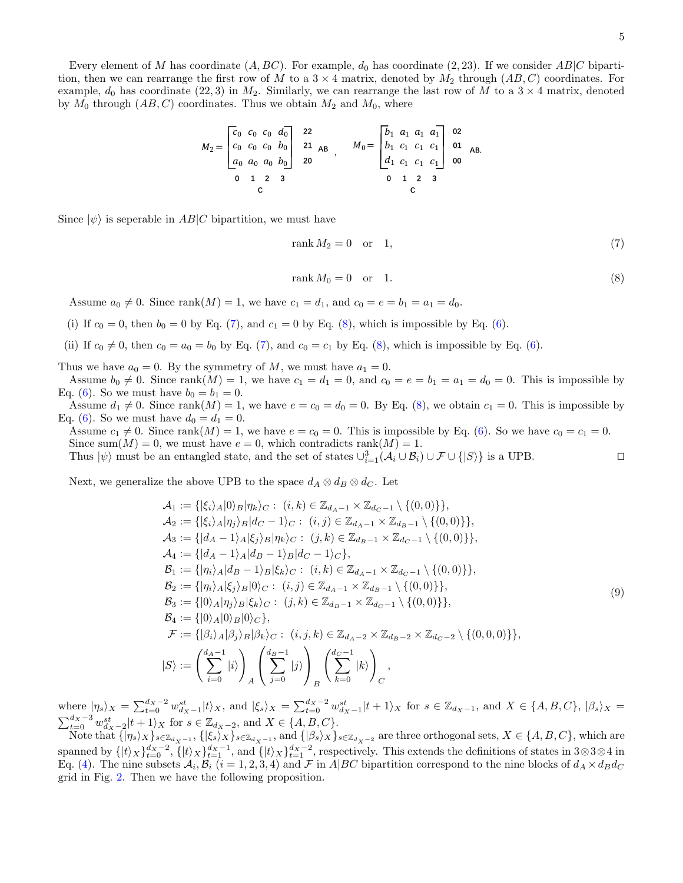Every element of M has coordinate  $(A, BC)$ . For example,  $d_0$  has coordinate  $(2, 23)$ . If we consider  $AB|C$  bipartition, then we can rearrange the first row of M to a  $3 \times 4$  matrix, denoted by  $M_2$  through  $(AB, C)$  coordinates. For example,  $d_0$  has coordinate (22, 3) in  $M_2$ . Similarly, we can rearrange the last row of M to a 3  $\times$  4 matrix, denoted by  $M_0$  through  $(AB, C)$  coordinates. Thus we obtain  $M_2$  and  $M_0$ , where

$$
M_2 = \begin{bmatrix} c_0 & c_0 & c_0 & d_0 \\ c_0 & c_0 & c_0 & b_0 \\ a_0 & a_0 & a_0 & b_0 \end{bmatrix} \begin{array}{c} 22 \\ 21 \\ 20 \\ 20 \end{array}, \quad M_0 = \begin{bmatrix} b_1 & a_1 & a_1 & a_1 \\ b_1 & c_1 & c_1 & c_1 \\ d_1 & c_1 & c_1 & c_1 \end{bmatrix} \begin{array}{c} 02 \\ 01 \\ 00 \\ 00 \end{array} \quad \text{AB.}
$$

Since  $|\psi\rangle$  is seperable in AB|C bipartition, we must have

<span id="page-4-0"></span>
$$
rank M_2 = 0 \quad \text{or} \quad 1,\tag{7}
$$

<span id="page-4-1"></span>
$$
rank M_0 = 0 \quad \text{or} \quad 1. \tag{8}
$$

Assume  $a_0 \neq 0$ . Since rank $(M) = 1$ , we have  $c_1 = d_1$ , and  $c_0 = e = b_1 = a_1 = d_0$ .

- (i) If  $c_0 = 0$ , then  $b_0 = 0$  by Eq. [\(7\)](#page-4-0), and  $c_1 = 0$  by Eq. [\(8\)](#page-4-1), which is impossible by Eq. [\(6\)](#page-3-2).
- (ii) If  $c_0 \neq 0$ , then  $c_0 = a_0 = b_0$  by Eq. [\(7\)](#page-4-0), and  $c_0 = c_1$  by Eq. [\(8\)](#page-4-1), which is impossible by Eq. [\(6\)](#page-3-2).
- Thus we have  $a_0 = 0$ . By the symmetry of M, we must have  $a_1 = 0$ .

Assume  $b_0 \neq 0$ . Since rank $(M) = 1$ , we have  $c_1 = d_1 = 0$ , and  $c_0 = e = b_1 = a_1 = d_0 = 0$ . This is impossible by Eq. [\(6\)](#page-3-2). So we must have  $b_0 = b_1 = 0$ .

Assume  $d_1 \neq 0$ . Since rank $(M) = 1$ , we have  $e = c_0 = d_0 = 0$ . By Eq. [\(8\)](#page-4-1), we obtain  $c_1 = 0$ . This is impossible by Eq. [\(6\)](#page-3-2). So we must have  $d_0 = d_1 = 0$ .

Assume  $c_1 \neq 0$ . Since rank $(M) = 1$ , we have  $e = c_0 = 0$ . This is impossible by Eq. [\(6\)](#page-3-2). So we have  $c_0 = c_1 = 0$ . Since sum(M) = 0, we must have  $e = 0$ , which contradicts rank(M) = 1. Thus  $|\psi\rangle$  must be an entangled state, and the set of states  $\cup_{i=1}^{3} (\mathcal{A}_i \cup \mathcal{B}_i) \cup \mathcal{F} \cup \{|S\rangle\}$  is a UPB.

Next, we generalize the above UPB to the space  $d_A \otimes d_B \otimes d_C$ . Let

<span id="page-4-2"></span>
$$
\mathcal{A}_{1} := \{|\xi_{i}\rangle_{A}|0\rangle_{B}|\eta_{k}\rangle_{C} : (i,k) \in \mathbb{Z}_{d_{A}-1} \times \mathbb{Z}_{d_{C}-1} \setminus \{(0,0)\}\},
$$
\n
$$
\mathcal{A}_{2} := \{|\xi_{i}\rangle_{A}|\eta_{j}\rangle_{B}|d_{C}-1\rangle_{C} : (i,j) \in \mathbb{Z}_{d_{A}-1} \times \mathbb{Z}_{d_{B}-1} \setminus \{(0,0)\}\},
$$
\n
$$
\mathcal{A}_{3} := \{ |d_{A}-1\rangle_{A}|\xi_{j}\rangle_{B}|\eta_{k}\rangle_{C} : (j,k) \in \mathbb{Z}_{d_{B}-1} \times \mathbb{Z}_{d_{C}-1} \setminus \{(0,0)\}\},
$$
\n
$$
\mathcal{A}_{4} := \{ |d_{A}-1\rangle_{A}|d_{B}-1\rangle_{B}|d_{C}-1\rangle_{C}\},
$$
\n
$$
\mathcal{B}_{1} := \{ |\eta_{i}\rangle_{A}|d_{B}-1\rangle_{B}|\xi_{k}\rangle_{C} : (i,k) \in \mathbb{Z}_{d_{A}-1} \times \mathbb{Z}_{d_{C}-1} \setminus \{(0,0)\}\},
$$
\n
$$
\mathcal{B}_{2} := \{ |\eta_{i}\rangle_{A}|\xi_{j}\rangle_{B}|0\rangle_{C} : (i,j) \in \mathbb{Z}_{d_{A}-1} \times \mathbb{Z}_{d_{B}-1} \setminus \{(0,0)\}\},
$$
\n
$$
\mathcal{B}_{3} := \{ |0\rangle_{A}|\eta_{j}\rangle_{B}|\xi_{k}\rangle_{C} : (j,k) \in \mathbb{Z}_{d_{B}-1} \times \mathbb{Z}_{d_{C}-1} \setminus \{(0,0)\}\},
$$
\n
$$
\mathcal{B}_{4} := \{ |0\rangle_{A}|\beta_{j}\rangle_{B}|\beta_{k}\rangle_{C} : (i,j,k) \in \mathbb{Z}_{d_{A}-2} \times \mathbb{Z}_{d_{B}-2} \times \mathbb{Z}_{d_{C}-2} \setminus \{(0,0,0)\}\},
$$
\n
$$
\mathcal{F} := \{ |\beta_{i}\rangle_{A}|\beta_{j}\rangle_{B}|\beta_{k}\rangle_{C} : (i,j,k) \in \mathbb{Z}_{d_{A}-2} \times \math
$$

where  $|\eta_s\rangle_X = \sum_{t=0}^{d_X-2} w_{d_X-1}^{st} |t\rangle_X$ , and  $|\xi_s\rangle_X = \sum_{t=0}^{d_X-2} w_{d_X-1}^{st} |t+1\rangle_X$  for  $s \in \mathbb{Z}_{d_X-1}$ , and  $X \in \{A, B, C\}$ ,  $|\beta_s\rangle_X = \sum_{t=0}^{d_X-3} w_{d_X-1}^{st} |t+1\rangle_X$  for  $s \in \mathbb{Z}_{d_X-2}$ , and  $X \in \{A, B, C\}$ .

Note that  $\{|\eta_s\rangle_X\}_{s\in\mathbb{Z}_{d_X-1}},\{|\xi_s\rangle_X\}_{s\in\mathbb{Z}_{d_X-1}},$  and  $\{|\beta_s\rangle_X\}_{s\in\mathbb{Z}_{d_X-2}}$  are three orthogonal sets,  $X\in\{A,B,C\}$ , which are spanned by  $\{|t\rangle_X\}_{t=0}^{d_X-2}$ ,  $\{|t\rangle_X\}_{t=1}^{d_X-1}$ , and  $\{|t\rangle_X\}_{t=1}^{d_X-2}$ , respectively. This extends the definitions of states in 3⊗3⊗4 in Eq. [\(4\)](#page-2-1). The nine subsets  $A_i$ ,  $B_i$  ( $i = 1, 2, 3, 4$ ) and  $\mathcal F$  in A|BC bipartition correspond to the nine blocks of  $d_A \times d_B d_C$ grid in Fig. [2.](#page-5-2) Then we have the following proposition.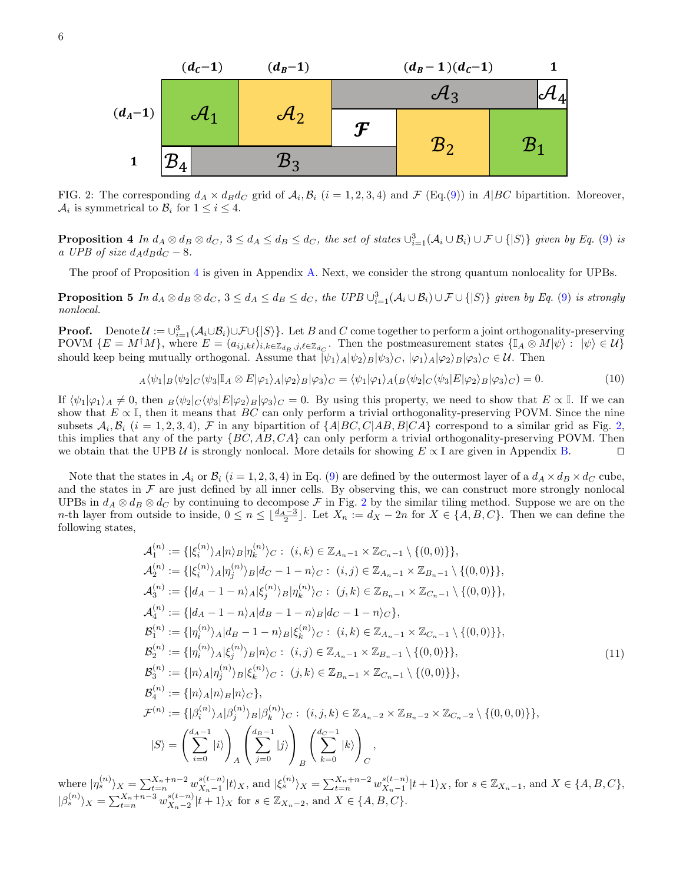<span id="page-5-2"></span>

FIG. 2: The corresponding  $d_A \times d_B d_C$  grid of  $\mathcal{A}_i, \mathcal{B}_i$  ( $i = 1, 2, 3, 4$ ) and  $\mathcal{F}$  (Eq.[\(9\)](#page-4-2)) in A|BC bipartition. Moreover,  $A_i$  is symmetrical to  $B_i$  for  $1 \leq i \leq 4$ .

<span id="page-5-0"></span>**Proposition 4** In  $d_A \otimes d_B \otimes d_C$ ,  $3 \leq d_A \leq d_B \leq d_C$ , the set of states  $\bigcup_{i=1}^3 (\mathcal{A}_i \cup \mathcal{B}_i) \cup \mathcal{F} \cup \{|S\rangle\}$  given by Eq. [\(9\)](#page-4-2) is a UPB of size  $d_A d_B d_C - 8$ .

The proof of Proposition [4](#page-5-0) is given in Appendix [A.](#page-7-1) Next, we consider the strong quantum nonlocality for UPBs.

**Proposition 5** In  $d_A \otimes d_B \otimes d_C$ ,  $3 \leq d_A \leq d_B \leq d_C$ , the UPB  $\cup_{i=1}^3 (\mathcal{A}_i \cup \mathcal{B}_i) \cup \mathcal{F} \cup \{|S\rangle\}$  given by Eq. [\(9\)](#page-4-2) is strongly nonlocal.

**Proof.** Denote  $\mathcal{U} := \bigcup_{i=1}^{3} (\mathcal{A}_i \cup \mathcal{B}_i) \cup \mathcal{F} \cup \{ |S \rangle \}$ . Let B and C come together to perform a joint orthogonality-preserving POVM  $\{E = M^{\dagger}M\}$ , where  $E = (a_{ij,k\ell})_{i,k\in\mathbb{Z}_{d_B},j,\ell\in\mathbb{Z}_{d_C}}$ . Then the postmeasurement states  $\{\mathbb{I}_A \otimes M|\psi\rangle : |\psi\rangle \in \mathcal{U}\}$ should keep being mutually orthogonal. Assume that  $|\psi_1\rangle_A|\psi_2\rangle_B|\psi_3\rangle_C$ ,  $|\varphi_1\rangle_A|\varphi_2\rangle_B|\varphi_3\rangle_C \in \mathcal{U}$ . Then

<span id="page-5-1"></span>
$$
_A\langle\psi_1|_B\langle\psi_2|_C\langle\psi_3|\mathbb{I}_A\otimes E|\varphi_1\rangle_A|\varphi_2\rangle_B|\varphi_3\rangle_C=\langle\psi_1|\varphi_1\rangle_A\langle_B\langle\psi_2|_C\langle\psi_3|E|\varphi_2\rangle_B|\varphi_3\rangle_C)=0.
$$
\n(10)

If  $\langle \psi_1|\varphi_1\rangle_A \neq 0$ , then  $B\langle \psi_2|C\langle \psi_3|E|\varphi_2\rangle_B|\varphi_3\rangle_C = 0$ . By using this property, we need to show that  $E \propto \mathbb{I}$ . If we can show that  $E \propto \mathbb{I}$ , then it means that  $BC$  can only perform a trivial orthogonality-preserving POVM. Since the nine subsets  $A_i, B_i$   $(i = 1, 2, 3, 4), \mathcal{F}$  $(i = 1, 2, 3, 4), \mathcal{F}$  $(i = 1, 2, 3, 4), \mathcal{F}$  in any bipartition of  $\{A|BC, C|AB, B|CA\}$  correspond to a similar grid as Fig. 2, this implies that any of the party  $\{BC, AB, CA\}$  can only perform a trivial orthogonality-preserving POVM. Then<br>we obtain that the UPB U is strongly nonlocal. More details for showing  $E \propto \mathbb{I}$  are given in Appendix B. we obtain that the UPB  $\mathcal U$  is strongly nonlocal. More details for showing  $E \propto \mathbb I$  are given in Appendix [B.](#page-8-0)

Note that the states in  $A_i$  or  $B_i$   $(i = 1, 2, 3, 4)$  in Eq. [\(9\)](#page-4-2) are defined by the outermost layer of a  $d_A \times d_B \times d_C$  cube, and the states in  $\mathcal F$  are just defined by all inner cells. By observing this, we can construct more strongly nonlocal UPBs in  $d_A \otimes d_B \otimes d_C$  by continuing to decompose F in Fig. [2](#page-5-2) by the similar tiling method. Suppose we are on the n-th layer from outside to inside,  $0 \le n \le \lfloor \frac{d_A-3}{2} \rfloor$ . Let  $X_n := d_X - 2n$  for  $X \in \{A, B, C\}$ . Then we can define the following states,

<span id="page-5-3"></span>
$$
\mathcal{A}_{1}^{(n)} := \{ |\xi_{i}^{(n)} \rangle_{A} | n \rangle_{B} | \eta_{k}^{(n)} \rangle_{C} : (i, k) \in \mathbb{Z}_{A_{n}-1} \times \mathbb{Z}_{C_{n}-1} \setminus \{ (0, 0) \} \},
$$
  
\n
$$
\mathcal{A}_{2}^{(n)} := \{ |\xi_{i}^{(n)} \rangle_{A} | n_{j}^{(n)} \rangle_{B} | d_{C} - 1 - n \rangle_{C} : (i, j) \in \mathbb{Z}_{A_{n}-1} \times \mathbb{Z}_{B_{n}-1} \setminus \{ (0, 0) \} \},
$$
  
\n
$$
\mathcal{A}_{3}^{(n)} := \{ | d_{A} - 1 - n \rangle_{A} | \xi_{j}^{(n)} \rangle_{B} | n_{k}^{(n)} \rangle_{C} : (j, k) \in \mathbb{Z}_{B_{n}-1} \times \mathbb{Z}_{C_{n}-1} \setminus \{ (0, 0) \} \},
$$
  
\n
$$
\mathcal{A}_{4}^{(n)} := \{ | d_{A} - 1 - n \rangle_{A} | d_{B} - 1 - n \rangle_{B} | d_{C} - 1 - n \rangle_{C} \},
$$
  
\n
$$
\mathcal{B}_{1}^{(n)} := \{ | \eta_{i}^{(n)} \rangle_{A} | d_{B} - 1 - n \rangle_{B} | \xi_{k}^{(n)} \rangle_{C} : (i, k) \in \mathbb{Z}_{A_{n}-1} \times \mathbb{Z}_{C_{n}-1} \setminus \{ (0, 0) \} \},
$$
  
\n
$$
\mathcal{B}_{2}^{(n)} := \{ | n_{i}^{(n)} \rangle_{A} | \xi_{j}^{(n)} \rangle_{B} | n \rangle_{C} : (i, j) \in \mathbb{Z}_{A_{n}-1} \times \mathbb{Z}_{B_{n}-1} \setminus \{ (0, 0) \} \},
$$
  
\n
$$
\mathcal{B}_{3}^{(n)} := \{ | n_{\lambda} \rangle_{A} | n_{j}^{(n)} \rangle_{B} | \xi_{k}^{(n)} \rangle_{C} : (j, k) \in \mathbb{Z}_{B_{n}-1} \times \mathbb{Z}_{C_{n}-1} \setminus \{ (0, 0) \} \},
$$

where  $|\eta_s^{(n)}\rangle_X = \sum_{t=n}^{X_n+n-2} w_{X_n-1}^{s(t-n)}$  $s_{X_n-1}^{(t-n)}|t\rangle_X$ , and  $|\xi_s^{(n)}\rangle_X = \sum_{t=n}^{X_n+n-2} w_{X_n-1}^{s(t-n)}$  $x_{X_n-1}^{s(t-n)}|t+1\rangle_X$ , for  $s \in \mathbb{Z}_{X_n-1}$ , and  $X \in \{A, B, C\},\$  $|\beta_s^{(n)}\rangle_X = \sum_{t=n}^{X_n+n-3} w_{X_n-2}^{s(t-n)}$  $_{X_n-2}^{s(t-n)}|t+1\rangle_X$  for  $s \in \mathbb{Z}_{X_n-2}$ , and  $X \in \{A, B, C\}.$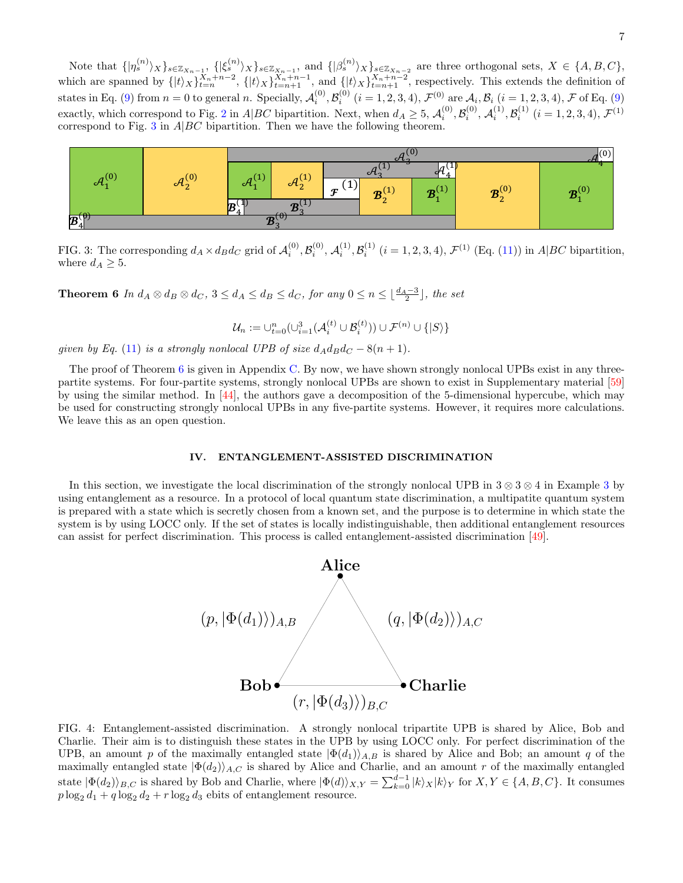Note that  $\{|{\eta}_s^{(n)}\rangle_X\}_{s\in\mathbb{Z}_{X_n-1}},\ \{|\xi_s^{(n)}\rangle_X\}_{s\in\mathbb{Z}_{X_n-1}},\$  and  $\{|{\beta}_s^{(n)}\rangle_X\}_{s\in\mathbb{Z}_{X_n-2}}$  are three orthogonal sets,  $X \in \{A, B, C\},\$ which are spanned by  $\{|t\rangle_X\}_{t=n}^{X_n+n-2}$ ,  $\{|t\rangle_X\}_{t=n+1}^{X_n+n-1}$ , and  $\{|t\rangle_X\}_{t=n+1}^{X_n+n-2}$ , respectively. This extends the definition of states in Eq. [\(9\)](#page-4-2) from  $n = 0$  to general n. Specially,  $\mathcal{A}_i^{(0)}, \mathcal{B}_i^{(0)}$   $(i = 1, 2, 3, 4), \mathcal{F}^{(0)}$  are  $\mathcal{A}_i, \mathcal{B}_i$   $(i = 1, 2, 3, 4), \mathcal{F}$  of Eq. (9) exactly, which correspond to Fig. [2](#page-5-2) in A|BC bipartition. Next, when  $d_A \geq 5$ ,  $\mathcal{A}_i^{(0)}$ ,  $\mathcal{B}_i^{(0)}$ ,  $\mathcal{A}_i^{(1)}$ ,  $\mathcal{B}_i^{(1)}$  ( $i = 1, 2, 3, 4$ ),  $\mathcal{F}^{(1)}$ correspond to Fig. [3](#page-6-2) in  $A|BC$  bipartition. Then we have the following theorem.

<span id="page-6-2"></span>

FIG. 3: The corresponding  $d_A \times d_B d_C$  grid of  $\mathcal{A}_i^{(0)}$ ,  $\mathcal{B}_i^{(0)}$ ,  $\mathcal{A}_i^{(1)}$ ,  $\mathcal{B}_i^{(1)}$   $(i = 1, 2, 3, 4)$ ,  $\mathcal{F}^{(1)}$  (Eq. [\(11\)](#page-5-3)) in A|BC bipartition, where  $d_A \geq 5$ .  $\sum_{i=1}^{n}$  result of the main result of the proof, and  $n^{(0)}$  and  $n^{(1)}$  and  $n^{(1)}$  of the detailed the detailed the detailed the detailed the detailed the detailed the detailed the detailed the detailed the detailed s: The corresponding  $a_A \times a_B a_C$  grid

<span id="page-6-1"></span>**Theorem 6** In  $d_A \otimes d_B \otimes d_C$ ,  $3 \leq d_A \leq d_B \leq d_C$ , for any  $0 \leq n \leq \lfloor \frac{d_A-3}{2} \rfloor$ , the set

$$
\mathcal{U}_n:=\cup_{t=0}^n (\cup_{i=1}^3(\mathcal{A}_i^{(t)}\cup\mathcal{B}_i^{(t)}))\cup\mathcal{F}^{(n)}\cup\{|S\rangle\}
$$

given by Eq. [\(11\)](#page-5-3) is a strongly nonlocal UPB of size  $d_A d_B d_C - 8(n + 1)$ .  $\begin{bmatrix} 0 & -0 \end{bmatrix}$  and the goal is shared by the goal is to identify in which is to identify in which is to identify in which is to identify in which is to identify in which is to identify in which is to identify in whic by Eq. (11) is a strongly nonlocal UPB of size  $a_A a_B a_C - 8(n + 1)$ .

The proof of Theorem 6 is given in Appendix C. By now, we have shown strongly nonlocal UPBs exist in any three-partite systems. For four-partite systems, strongly nonlocal UPBs are shown to exist in Supplementary material [\[59\]](#page-17-2) by using the similar method. In [\[44\]](#page-16-10), the authors gave a decomposition of the 5-dimensional hypercube, which may be used for constructing strongly nonlocal UPBs in any five-partite systems. However, it requires more calculations. We leave this as an open question.

# <span id="page-6-0"></span>IV. ENTANGLEMENT-ASSISTED DISCRIMINATION

<span id="page-6-3"></span>In this section, we investigate the local discrimination of the strongly nonlocal UPB in  $3 \otimes 3 \otimes 4$  $3 \otimes 3 \otimes 4$  in Example 3 by using entanglement as a resource. In a protocol of local quantum state discrimination, a multipatite quantum system<br>is prepared with a state which is seeredly chosen from a known set, and the purpose is to determine in wh is prepared with a state which is secretly chosen from a known set, and the purpose is to determine in which state the system is by using LOCC only. If the set of states is locally indistinguishable, then additional entanglement resources can assist for perfect discrimination. This process is called entanglement-assisted discrimination [\[49\]](#page-16-15).



FIG. 1: Entanglement-assisted discrimination. A strongly nonlocal tripartite UPB is shared by Alice, Bob and UPB, an amount p of the maximally entangled state  $|\Phi(d_1)\rangle_{A,B}$  is shared by Alice and Bob; an amount q of the UTB, an amount p of the maximally entangled state  $|\Psi(u_1)/A,B|$  is shared by Alice and Bob; an amount q of the maximally entangled state  $|\Phi(d_2)\rangle_{A,C}$  is shared by Alice and Charlie, and an amount r of the maximally entangl maximally entangled state  $|\Psi(\omega_2)/A,C$  is shared by Alice and Charlie, and an amount r of the maximally entangled<br>atata  $|\Phi(d_1)\rangle$  is aboved by Dab and Charlie where  $|\Phi(d)\rangle = \sum_{n=1}^{\infty} \frac{1}{n!} |\psi_n - \psi_n|$  for  $\sum_{n=1}^{\infty} \frac{$ state  $|\Phi(d_2)\rangle_{B,C}$  is shared by Bob and Charlie, where  $|\Phi(d)\rangle_{X,Y} = \sum_{k=0}^{\infty} |k\rangle_{X}|k\rangle_{Y}$  for  $X,Y \in \{A, B, C\}$ . It consumes  $n\log_2 d_1 + a\log_2 d_2 + r\log_2 d_2$  ebits of entanglement resource  $p \log_2 d_1 + q \log_2 d_2 + r \log_2 d_3$  ebits of entanglement resource. FIG. 4: Entanglement-assisted discrimination. A strongly nonlocal tripartite UPB is shared by Alice, Bob and Charlie. Their aim is to distinguish these states in the UPB using LOCC only. For perfect discrimination of the Charlie. Their aim is to distinguish these states in the UPB by using LOCC only. For perfect discrimination of the state  $|\Phi(d_2)\rangle_{B,C}$  is shared by Bob and Charlie, where  $|\Phi(d)\rangle_{X,Y} = \sum_{k=0}^{d-1} |k\rangle_X |k\rangle_Y$  for  $X,Y \in \{A, B, C\}$ . It consumes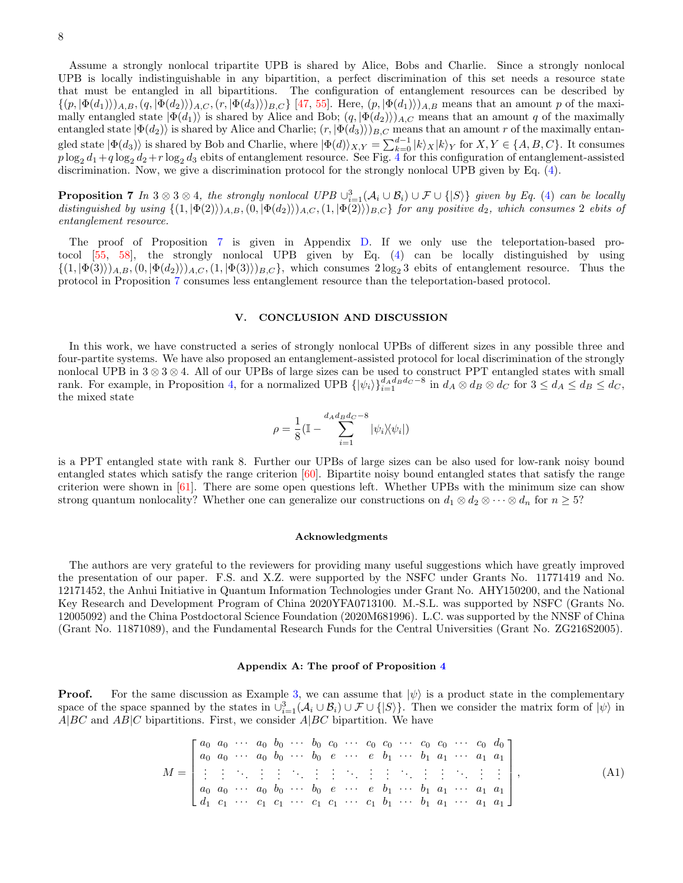Assume a strongly nonlocal tripartite UPB is shared by Alice, Bobs and Charlie. Since a strongly nonlocal UPB is locally indistinguishable in any bipartition, a perfect discrimination of this set needs a resource state that must be entangled in all bipartitions. The configuration of entanglement resources can be described by  $\{(p, |\Phi(d_1)\rangle)_{A,B},(q, |\Phi(d_2)\rangle)_{A,C},(r, |\Phi(d_3)\rangle)_{B,C}\}$  [\[47,](#page-16-13) [55\]](#page-17-3). Here,  $(p, |\Phi(d_1)\rangle)_{A,B}$  means that an amount p of the maximally entangled state  $|\Phi(d_1)\rangle$  is shared by Alice and Bob;  $(q, |\Phi(d_2)\rangle)_{A,C}$  means that an amount q of the maximally entangled state  $|\Phi(d_2)\rangle$  is shared by Alice and Charlie;  $(r, |\Phi(d_3)\rangle)_{B,C}$  means that an amount r of the maximally entangled state  $|\Phi(d_3)\rangle$  is shared by Bob and Charlie, where  $|\Phi(d)\rangle_{X,Y} = \sum_{k=0}^{d-1} |k\rangle_X|k\rangle_Y$  for  $X,Y \in \{A, B, C\}$ . It consumes  $p\log_2 d_1+q\log_2 d_2+r\log_2 d_3$  ebits of entanglement resource. See Fig. [4](#page-6-3) for this configuration of entanglement-assisted discrimination. Now, we give a discrimination protocol for the strongly nonlocal UPB given by Eq. [\(4\)](#page-2-1).

<span id="page-7-2"></span>**Proposition 7** In 3 ⊗ 3 ⊗ 4, the strongly nonlocal UPB  $\cup_{i=1}^3 (\mathcal{A}_i \cup \mathcal{B}_i) \cup \mathcal{F} \cup \{ |S \rangle \}$  given by Eq. [\(4\)](#page-2-1) can be locally distinguished by using  $\{(1, |\Phi(2)\rangle)_{A,B}, (0, |\Phi(d_2)\rangle)_{A,C}, (1, |\Phi(2)\rangle)_{B,C}\}$  for any positive  $d_2$ , which consumes 2 ebits of entanglement resource.

The proof of Proposition [7](#page-7-2) is given in Appendix [D.](#page-13-0) If we only use the teleportation-based protocol [\[55,](#page-17-3) [58\]](#page-17-1), the strongly nonlocal UPB given by Eq. [\(4\)](#page-2-1) can be locally distinguished by using  $\{(1, |\Phi(3)\rangle)_{A,B}, (0, |\Phi(d_2)\rangle)_{A,C}, (1, |\Phi(3)\rangle)_{B,C}\}$ , which consumes  $2\log_2 3$  ebits of entanglement resource. Thus the protocol in Proposition [7](#page-7-2) consumes less entanglement resource than the teleportation-based protocol.

#### <span id="page-7-0"></span>V. CONCLUSION AND DISCUSSION

In this work, we have constructed a series of strongly nonlocal UPBs of different sizes in any possible three and four-partite systems. We have also proposed an entanglement-assisted protocol for local discrimination of the strongly nonlocal UPB in  $3 \otimes 3 \otimes 4$ . All of our UPBs of large sizes can be used to construct PPT entangled states with small rank. For example, in Proposition [4,](#page-5-0) for a normalized UPB  $\{|\psi_i\rangle\}_{i=1}^{d_A d_B d_C - 8}$  in  $d_A \otimes d_B \otimes d_C$  for  $3 \leq d_A \leq d_B \leq d_C$ , the mixed state

$$
\rho = \frac{1}{8} (\mathbb{I} - \sum_{i=1}^{d_A d_B d_C - 8} |\psi_i\rangle\langle\psi_i|)
$$

is a PPT entangled state with rank 8. Further our UPBs of large sizes can be also used for low-rank noisy bound entangled states which satisfy the range criterion [\[60\]](#page-17-4). Bipartite noisy bound entangled states that satisfy the range criterion were shown in [\[61\]](#page-17-5). There are some open questions left. Whether UPBs with the minimum size can show strong quantum nonlocality? Whether one can generalize our constructions on  $d_1 \otimes d_2 \otimes \cdots \otimes d_n$  for  $n \geq 5$ ?

#### Acknowledgments

The authors are very grateful to the reviewers for providing many useful suggestions which have greatly improved the presentation of our paper. F.S. and X.Z. were supported by the NSFC under Grants No. 11771419 and No. 12171452, the Anhui Initiative in Quantum Information Technologies under Grant No. AHY150200, and the National Key Research and Development Program of China 2020YFA0713100. M.-S.L. was supported by NSFC (Grants No. 12005092) and the China Postdoctoral Science Foundation (2020M681996). L.C. was supported by the NNSF of China (Grant No. 11871089), and the Fundamental Research Funds for the Central Universities (Grant No. ZG216S2005).

#### <span id="page-7-1"></span>Appendix A: The proof of Proposition [4](#page-5-0)

**Proof.** For the same discussion as Example [3,](#page-3-0) we can assume that  $|\psi\rangle$  is a product state in the complementary space of the space spanned by the states in  $\cup_{i=1}^{3}(\mathcal{A}_{i}\cup\mathcal{B}_{i})\cup\mathcal{F}\cup\{|S\rangle\}$ . Then we consider the matrix form of  $|\psi\rangle$  in  $A|BC$  and  $AB|C$  bipartitions. First, we consider  $A|BC$  bipartition. We have

<span id="page-7-3"></span>M = a<sup>0</sup> a<sup>0</sup> · · · a<sup>0</sup> b<sup>0</sup> · · · b<sup>0</sup> c<sup>0</sup> · · · c<sup>0</sup> c<sup>0</sup> · · · c<sup>0</sup> c<sup>0</sup> · · · c<sup>0</sup> d<sup>0</sup> a<sup>0</sup> a<sup>0</sup> · · · a<sup>0</sup> b<sup>0</sup> · · · b<sup>0</sup> e · · · e b<sup>1</sup> · · · b<sup>1</sup> a<sup>1</sup> · · · a<sup>1</sup> a<sup>1</sup> . . . . . . . . . . . . . . . . . . . . . . . . . . . . . . . . . . . . . . . . . . . . . . . . . . . a<sup>0</sup> a<sup>0</sup> · · · a<sup>0</sup> b<sup>0</sup> · · · b<sup>0</sup> e · · · e b<sup>1</sup> · · · b<sup>1</sup> a<sup>1</sup> · · · a<sup>1</sup> a<sup>1</sup> d<sup>1</sup> c<sup>1</sup> · · · c<sup>1</sup> c<sup>1</sup> · · · c<sup>1</sup> c<sup>1</sup> · · · c<sup>1</sup> b<sup>1</sup> · · · b<sup>1</sup> a<sup>1</sup> · · · a<sup>1</sup> a<sup>1</sup> , (A1)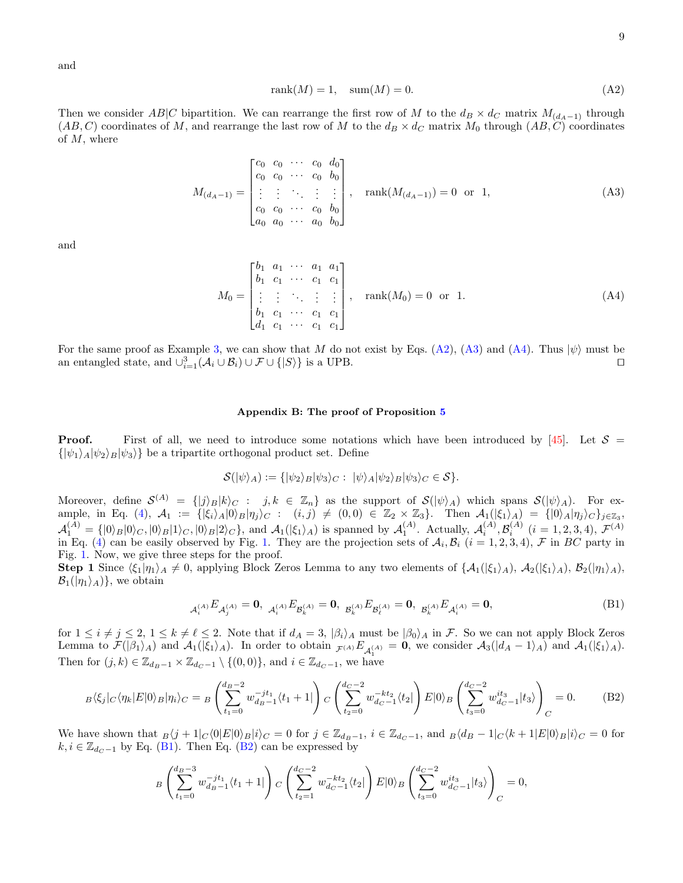and

<span id="page-8-1"></span>
$$
rank(M) = 1, sum(M) = 0.
$$
\n(A2)

Then we consider AB|C bipartition. We can rearrange the first row of M to the  $d_B \times d_C$  matrix  $M_{(d_A-1)}$  through  $(AB, C)$  coordinates of M, and rearrange the last row of M to the  $d_B \times d_C$  matrix  $M_0$  through  $(AB, C)$  coordinates of  $M$ , where

<span id="page-8-2"></span>
$$
M_{(d_A-1)} = \begin{bmatrix} c_0 & c_0 & \cdots & c_0 & d_0 \\ c_0 & c_0 & \cdots & c_0 & b_0 \\ \vdots & \vdots & \ddots & \vdots & \vdots \\ c_0 & c_0 & \cdots & c_0 & b_0 \\ a_0 & a_0 & \cdots & a_0 & b_0 \end{bmatrix}, \quad \text{rank}(M_{(d_A-1)}) = 0 \quad \text{or} \quad 1,
$$
 (A3)

and

<span id="page-8-3"></span>
$$
M_0 = \begin{bmatrix} b_1 & a_1 & \cdots & a_1 & a_1 \\ b_1 & c_1 & \cdots & c_1 & c_1 \\ \vdots & \vdots & \ddots & \vdots & \vdots \\ b_1 & c_1 & \cdots & c_1 & c_1 \\ d_1 & c_1 & \cdots & c_1 & c_1 \end{bmatrix}, \quad \text{rank}(M_0) = 0 \quad \text{or} \quad 1.
$$
 (A4)

For the same proof as Example [3,](#page-3-0) we can show that M do not exist by Eqs. [\(A2\)](#page-8-1), [\(A3\)](#page-8-2) and [\(A4\)](#page-8-3). Thus  $|\psi\rangle$  must be an entangled state, and  $\bigcup_{i=1}^{3} (A_i \cup B_i) \cup \mathcal{F} \cup \{S\}$  is a UPB. an entangled state, and  $\cup_{i=1}^{3}(\mathcal{A}_i\cup\mathcal{B}_i)\cup\mathcal{F}\cup\{|S\rangle\}$  is a UPB.

#### <span id="page-8-0"></span>Appendix B: The proof of Proposition [5](#page-5-1)

**Proof.** First of all, we need to introduce some notations which have been introduced by [\[45\]](#page-16-11). Let  $S =$  $\{|\psi_1\rangle_A|\psi_2\rangle_B|\psi_3\rangle\}$  be a tripartite orthogonal product set. Define

$$
\mathcal{S}(|\psi\rangle_A) := \{ |\psi_2\rangle_B |\psi_3\rangle_C : |\psi\rangle_A |\psi_2\rangle_B |\psi_3\rangle_C \in \mathcal{S} \}.
$$

Moreover, define  $S^{(A)} = \{ |j\rangle_B |k\rangle_C : j, k \in \mathbb{Z}_n \}$  as the support of  $S(|\psi\rangle_A)$  which spans  $S(|\psi\rangle_A)$ . For ex-ample, in Eq. [\(4\)](#page-2-1),  $\mathcal{A}_1 := \{ |\xi_i\rangle_A |0\rangle_B | \eta_j\rangle_C : (i,j) \neq (0,0) \in \mathbb{Z}_2 \times \mathbb{Z}_3 \}.$  Then  $\mathcal{A}_1(|\xi_1\rangle_A) = \{ |0\rangle_A | \eta_j\rangle_C \}_{j \in \mathbb{Z}_3},$  $\mathcal{A}_1^{(A)} = \{ |0\rangle_B |0\rangle_C, |0\rangle_B |1\rangle_C, |0\rangle_B |2\rangle_C \},$  and  $\mathcal{A}_1(|\xi_1\rangle_A)$  is spanned by  $\mathcal{A}_1^{(A)}$ . Actually,  $\mathcal{A}_i^{(A)}, \mathcal{B}_i^{(A)}$   $(i = 1, 2, 3, 4), \mathcal{F}^{(A)}$ in Eq. [\(4\)](#page-2-1) can be easily observed by Fig. [1.](#page-3-1) They are the projection sets of  $A_i, B_i$  ( $i = 1, 2, 3, 4$ ),  $\mathcal F$  in BC party in Fig. [1.](#page-3-1) Now, we give three steps for the proof.

**Step 1** Since  $\langle \xi_1|\eta_1\rangle_A \neq 0$ , applying Block Zeros Lemma to any two elements of  $\{A_1(|\xi_1\rangle_A), A_2(|\xi_1\rangle_A), B_2(|\eta_1\rangle_A),$  $\mathcal{B}_1(|\eta_1\rangle_A)$ , we obtain

<span id="page-8-4"></span>
$$
A_i^{(A)} E_{\mathcal{A}_j^{(A)}} = \mathbf{0}, \ \ A_i^{(A)} E_{\mathcal{B}_k^{(A)}} = \mathbf{0}, \ \ B_k^{(A)} E_{\mathcal{B}_\ell^{(A)}} = \mathbf{0}, \ \ B_k^{(A)} E_{\mathcal{A}_i^{(A)}} = \mathbf{0}, \tag{B1}
$$

for  $1 \leq i \neq j \leq 2$ ,  $1 \leq k \neq \ell \leq 2$ . Note that if  $d_A = 3$ ,  $|\beta_i\rangle_A$  must be  $|\beta_0\rangle_A$  in F. So we can not apply Block Zeros Lemma to  $\mathcal{F}(|\beta_1\rangle_A)$  and  $\mathcal{A}_1(|\xi_1\rangle_A)$ . In order to obtain  $\mathcal{F}^{(A)}E_{\mathcal{A}_1^{(A)}}=0$ , we consider  $\mathcal{A}_3(|d_A-1\rangle_A)$  and  $\mathcal{A}_1(|\xi_1\rangle_A)$ . Then for  $(j, k) \in \mathbb{Z}_{d_B-1} \times \mathbb{Z}_{d_C-1} \setminus \{(0, 0)\},$  and  $i \in \mathbb{Z}_{d_C-1}$ , we have

<span id="page-8-5"></span>
$$
B\langle \xi_j|_C \langle \eta_k|E|0\rangle_B|\eta_i\rangle_C = B\left(\sum_{t_1=0}^{d_B-2} w_{d_B-1}^{-jt_1} \langle t_1+1|\right) C\left(\sum_{t_2=0}^{d_C-2} w_{d_C-1}^{-kt_2} \langle t_2|\right) E|0\rangle_B \left(\sum_{t_3=0}^{d_C-2} w_{d_C-1}^{it_3} |t_3\rangle\right)_C = 0. \tag{B2}
$$

We have shown that  $B(j+1|C\langle 0|E|0\rangle_B|i_C = 0$  for  $j \in \mathbb{Z}_{d_B-1}$ ,  $i \in \mathbb{Z}_{d_C-1}$ , and  $B\langle d_B - 1|C\langle k+1|E|0\rangle_B|i_C = 0$  for  $k, i \in \mathbb{Z}_{d_C-1}$  by Eq. [\(B1\)](#page-8-4). Then Eq. [\(B2\)](#page-8-5) can be expressed by

$$
{}_B\left(\sum_{t_1=0}^{d_B-3} w_{d_B-1}^{-jt_1}(t_1+1)\right) {}_C\left(\sum_{t_2=1}^{d_C-2} w_{d_C-1}^{-kt_2}(t_2)\right) E|0\rangle_B \left(\sum_{t_3=0}^{d_C-2} w_{d_C-1}^{it_3}|t_3\rangle\right)_C=0,
$$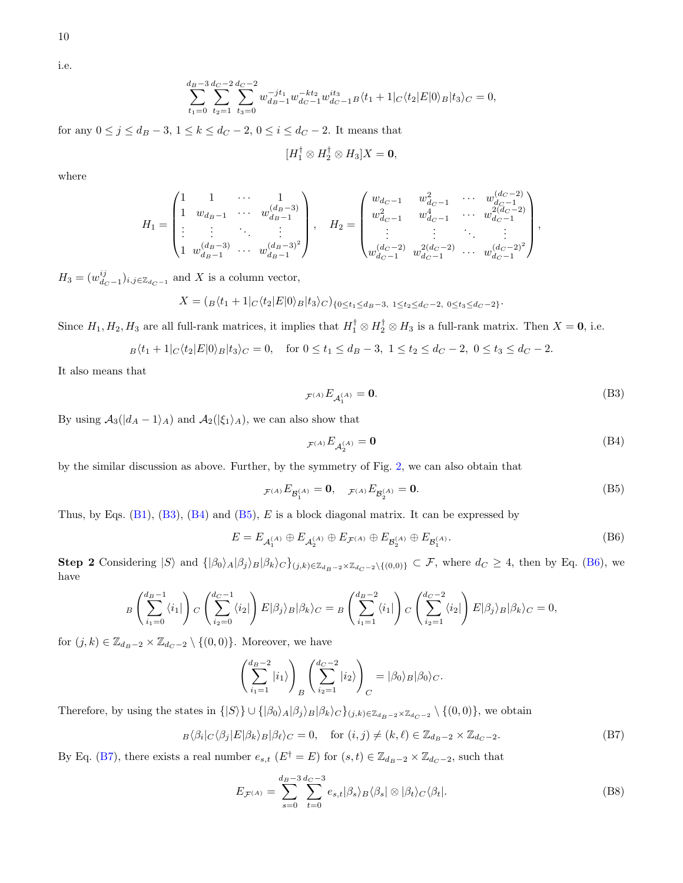10

i.e.

$$
\sum_{t_1=0}^{d_B-3}\sum_{t_2=1}^{d_C-2}\sum_{t_3=0}^{d_C-2}w_{d_B-1}^{-jt_1}w_{d_C-1}^{-kt_2}w_{d_C-1}^{it_3}B\langle t_1+1|_C\langle t_2|E|0\rangle_B|t_3\rangle_C=0,
$$

for any  $0 \le j \le d_B - 3$ ,  $1 \le k \le d_C - 2$ ,  $0 \le i \le d_C - 2$ . It means that

$$
[H_1^{\dagger} \otimes H_2^{\dagger} \otimes H_3]X = \mathbf{0},
$$

where

$$
H_1 = \begin{pmatrix} 1 & 1 & \cdots & 1 \\ 1 & w_{d_B-1} & \cdots & w_{d_B-1}^{(d_B-3)} \\ \vdots & \vdots & \ddots & \vdots \\ 1 & w_{d_B-1}^{(d_B-3)} & \cdots & w_{d_B-1}^{(d_B-3)} \end{pmatrix}, \quad H_2 = \begin{pmatrix} w_{d_C-1} & w_{d_C-1}^2 & \cdots & w_{d_C-1}^{(d_C-2)} \\ w_{d_C-1}^2 & w_{d_C-1}^4 & \cdots & w_{d_C-1}^{2(d_C-2)} \\ \vdots & \vdots & \ddots & \vdots \\ w_{d_C-1}^{(d_C-2)} & w_{d_C-1}^{2(d_C-2)} & \cdots & w_{d_C-1}^{(d_C-2)^2} \end{pmatrix},
$$

 $H_3 = (w_{d_C-1}^{ij})_{i,j \in \mathbb{Z}_{d_C-1}}$  and X is a column vector,

$$
X = (B(t_1 + 1C(t_2|E|0) - t_3)C)_{(0 \le t_1 \le d_B - 3, 1 \le t_2 \le d_C - 2, 0 \le t_3 \le d_C - 2)}.
$$

Since  $H_1, H_2, H_3$  are all full-rank matrices, it implies that  $H_1^T \otimes H_2^T \otimes H_3$  is a full-rank matrix. Then  $X = 0$ , i.e.

$$
B\langle t_1 + 1 | C \langle t_2 | E | 0 \rangle_B | t_3 \rangle_C = 0, \quad \text{for } 0 \le t_1 \le d_B - 3, \ 1 \le t_2 \le d_C - 2, \ 0 \le t_3 \le d_C - 2.
$$

It also means that

<span id="page-9-0"></span>
$$
F^{(A)}E_{\mathcal{A}_1^{(A)}} = \mathbf{0}.\tag{B3}
$$

By using  $A_3(|d_A - 1\rangle_A)$  and  $A_2(|\xi_1\rangle_A)$ , we can also show that

<span id="page-9-1"></span>
$$
\mathcal{F}^{(A)}E_{\mathcal{A}_2^{(A)}} = \mathbf{0} \tag{B4}
$$

by the similar discussion as above. Further, by the symmetry of Fig. [2,](#page-5-2) we can also obtain that

<span id="page-9-2"></span>
$$
F^{(A)}E_{\mathcal{B}^{(A)}_1} = \mathbf{0}, \quad F^{(A)}E_{\mathcal{B}^{(A)}_2} = \mathbf{0}.
$$
 (B5)

Thus, by Eqs.  $(B1)$ ,  $(B3)$ ,  $(B4)$  and  $(B5)$ , E is a block diagonal matrix. It can be expressed by

<span id="page-9-3"></span>
$$
E = E_{\mathcal{A}_1^{(A)}} \oplus E_{\mathcal{A}_2^{(A)}} \oplus E_{\mathcal{F}^{(A)}} \oplus E_{\mathcal{B}_2^{(A)}} \oplus E_{\mathcal{B}_1^{(A)}}.
$$
 (B6)

Step 2 Considering  $|S\rangle$  and  $\{|\beta_0\rangle_A|\beta_j\rangle_B|\beta_k\rangle_C\}_{(j,k)\in\mathbb{Z}_{d_B-2}\times\mathbb{Z}_{d_C-2}\setminus\{(0,0)\}} \subset \mathcal{F}$ , where  $d_C \geq 4$ , then by Eq. [\(B6\)](#page-9-3), we have

$$
B\left(\sum_{i_1=0}^{d_B-1} \langle i_1|\right) C\left(\sum_{i_2=0}^{d_C-1} \langle i_2|\right) E|\beta_j\rangle_B|\beta_k\rangle_C = B\left(\sum_{i_1=1}^{d_B-2} \langle i_1|\right) C\left(\sum_{i_2=1}^{d_C-2} \langle i_2|\right) E|\beta_j\rangle_B|\beta_k\rangle_C = 0,
$$

for  $(j, k) \in \mathbb{Z}_{d_B-2} \times \mathbb{Z}_{d_C-2} \setminus \{(0, 0)\}.$  Moreover, we have

$$
\left(\sum_{i_1=1}^{d_B-2} |i_1\rangle\right)_B \left(\sum_{i_2=1}^{d_C-2} |i_2\rangle\right)_C = |\beta_0\rangle_B |\beta_0\rangle_C.
$$

Therefore, by using the states in  $\{|S\rangle\} \cup \{|\beta_0\rangle_A |\beta_j\rangle_B |\beta_k\rangle_C\}_{(j,k)\in \mathbb{Z}_{d_B-2}\times \mathbb{Z}_{d_C-2}}\setminus \{(0,0)\},$  we obtain

<span id="page-9-4"></span>
$$
B\langle \beta_i | C \langle \beta_j | E | \beta_k \rangle_B | \beta_\ell \rangle_C = 0, \quad \text{for } (i, j) \neq (k, \ell) \in \mathbb{Z}_{d_B - 2} \times \mathbb{Z}_{d_C - 2}.
$$
 (B7)

By Eq. [\(B7\)](#page-9-4), there exists a real number  $e_{s,t}$  ( $E^{\dagger} = E$ ) for  $(s,t) \in \mathbb{Z}_{d_B-2} \times \mathbb{Z}_{d_C-2}$ , such that

<span id="page-9-5"></span>
$$
E_{\mathcal{F}^{(A)}} = \sum_{s=0}^{d_B - 3} \sum_{t=0}^{d_C - 3} e_{s,t} |\beta_s\rangle_B \langle \beta_s| \otimes |\beta_t\rangle_C \langle \beta_t|.
$$
 (B8)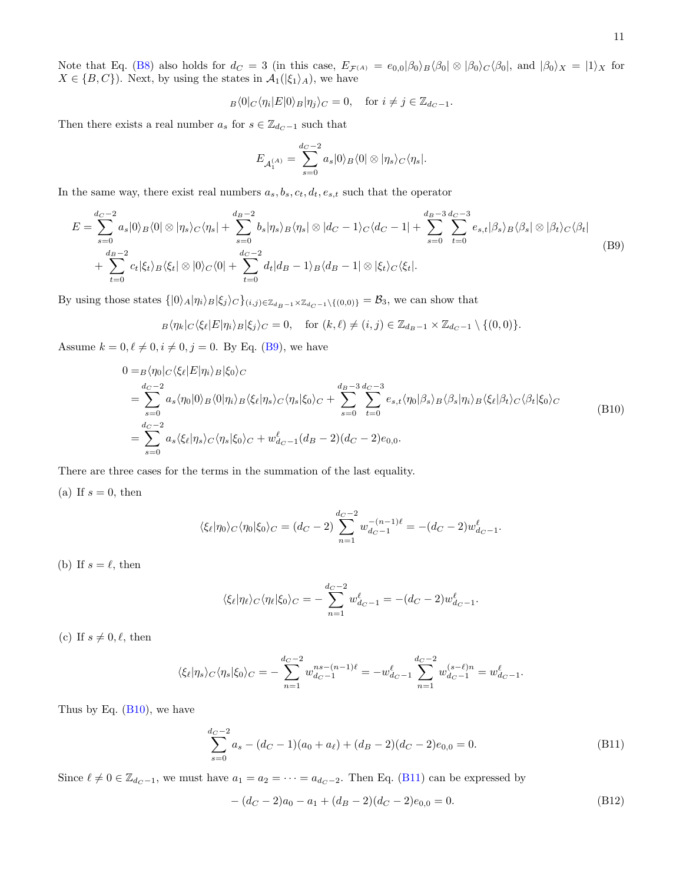Note that Eq. [\(B8\)](#page-9-5) also holds for  $d_C = 3$  (in this case,  $E_{\mathcal{F}^{(A)}} = e_{0,0}|\beta_0\rangle_B\langle\beta_0|\otimes|\beta_0\rangle_C\langle\beta_0|$ , and  $|\beta_0\rangle_X = |1\rangle_X$  for  $X \in \{B, C\}$ ). Next, by using the states in  $\mathcal{A}_1(|\xi_1\rangle_A)$ , we have

$$
B\langle 0|C\langle \eta_i|E|0\rangle_B|\eta_j\rangle_C=0, \quad \text{for } i\neq j \in \mathbb{Z}_{d_C-1}.
$$

Then there exists a real number  $a_s$  for  $s \in \mathbb{Z}_{d_C - 1}$  such that

$$
E_{\mathcal{A}_1^{(A)}} = \sum_{s=0}^{d_C-2} a_s |0\rangle_B \langle 0| \otimes |\eta_s\rangle_C \langle \eta_s|.
$$

In the same way, there exist real numbers  $a_s, b_s, c_t, d_t, e_{s,t}$  such that the operator

<span id="page-10-0"></span>
$$
E = \sum_{s=0}^{d_C-2} a_s |0\rangle_B \langle 0| \otimes |\eta_s\rangle_C \langle \eta_s| + \sum_{s=0}^{d_B-2} b_s |\eta_s\rangle_B \langle \eta_s| \otimes |d_C-1\rangle_C \langle d_C-1| + \sum_{s=0}^{d_B-3} \sum_{t=0}^{d_C-3} e_{s,t} |\beta_s\rangle_B \langle \beta_s| \otimes |\beta_t\rangle_C \langle \beta_t|
$$
  
+ 
$$
\sum_{t=0}^{d_B-2} c_t |\xi_t\rangle_B \langle \xi_t| \otimes |0\rangle_C \langle 0| + \sum_{t=0}^{d_C-2} d_t |d_B-1\rangle_B \langle d_B-1| \otimes |\xi_t\rangle_C \langle \xi_t|.
$$
 (B9)

By using those states  $\{|0\rangle_A|\eta_i\rangle_B|\xi_j\rangle_C\}_{(i,j)\in\mathbb{Z}_{d_B-1}\times\mathbb{Z}_{d_C-1}\setminus\{(0,0)\}} = \mathcal{B}_3$ , we can show that

$$
{}_B\langle \eta_k|_C\langle \xi_\ell|E|\eta_i\rangle_B|\xi_j\rangle_C=0,\quad \text{for } (k,\ell)\neq (i,j)\in \mathbb{Z}_{d_B-1}\times \mathbb{Z}_{d_C-1}\setminus\{(0,0)\}.
$$

Assume  $k = 0, \ell \neq 0, i \neq 0, j = 0$ . By Eq. [\(B9\)](#page-10-0), we have

<span id="page-10-1"></span>
$$
0 = B \langle \eta_0 | C \langle \xi_{\ell} | E | \eta_i \rangle_B | \xi_0 \rangle_C
$$
  
\n
$$
= \sum_{s=0}^{d_C - 2} a_s \langle \eta_0 | 0 \rangle_B \langle 0 | \eta_i \rangle_B \langle \xi_{\ell} | \eta_s \rangle_C \langle \eta_s | \xi_0 \rangle_C + \sum_{s=0}^{d_B - 3} \sum_{t=0}^{d_C - 3} e_{s,t} \langle \eta_0 | \beta_s \rangle_B \langle \beta_s | \eta_i \rangle_B \langle \xi_{\ell} | \beta_t \rangle_C \langle \beta_t | \xi_0 \rangle_C
$$
  
\n
$$
= \sum_{s=0}^{d_C - 2} a_s \langle \xi_{\ell} | \eta_s \rangle_C \langle \eta_s | \xi_0 \rangle_C + w_{d_C - 1}^{\ell} (d_B - 2) (d_C - 2) e_{0,0}.
$$
\n(B10)

There are three cases for the terms in the summation of the last equality.

(a) If  $s = 0$ , then

$$
\langle \xi_{\ell} | \eta_0 \rangle_C \langle \eta_0 | \xi_0 \rangle_C = (d_C - 2) \sum_{n=1}^{d_C - 2} w_{d_C - 1}^{-(n-1)\ell} = -(d_C - 2) w_{d_C - 1}^{\ell}.
$$

(b) If  $s = \ell$ , then

$$
\langle \xi_{\ell} | \eta_{\ell} \rangle_C \langle \eta_{\ell} | \xi_0 \rangle_C = -\sum_{n=1}^{d_C - 2} w_{d_C - 1}^{\ell} = -(d_C - 2) w_{d_C - 1}^{\ell}.
$$

(c) If  $s \neq 0, \ell$ , then

$$
\langle \xi_{\ell} | \eta_s \rangle_C \langle \eta_s | \xi_0 \rangle_C = -\sum_{n=1}^{d_C - 2} w_{d_C - 1}^{ns - (n-1)\ell} = -w_{d_C - 1}^{\ell} \sum_{n=1}^{d_C - 2} w_{d_C - 1}^{(s - \ell)n} = w_{d_C - 1}^{\ell}.
$$

Thus by Eq.  $(B10)$ , we have

<span id="page-10-2"></span>
$$
\sum_{s=0}^{d_C-2} a_s - (d_C-1)(a_0 + a_\ell) + (d_B-2)(d_C-2)e_{0,0} = 0.
$$
 (B11)

Since  $\ell \neq 0 \in \mathbb{Z}_{d_C-1}$ , we must have  $a_1 = a_2 = \cdots = a_{d_C-2}$ . Then Eq. [\(B11\)](#page-10-2) can be expressed by

<span id="page-10-3"></span>
$$
-(d_C - 2)a_0 - a_1 + (d_B - 2)(d_C - 2)e_{0,0} = 0.
$$
\n(B12)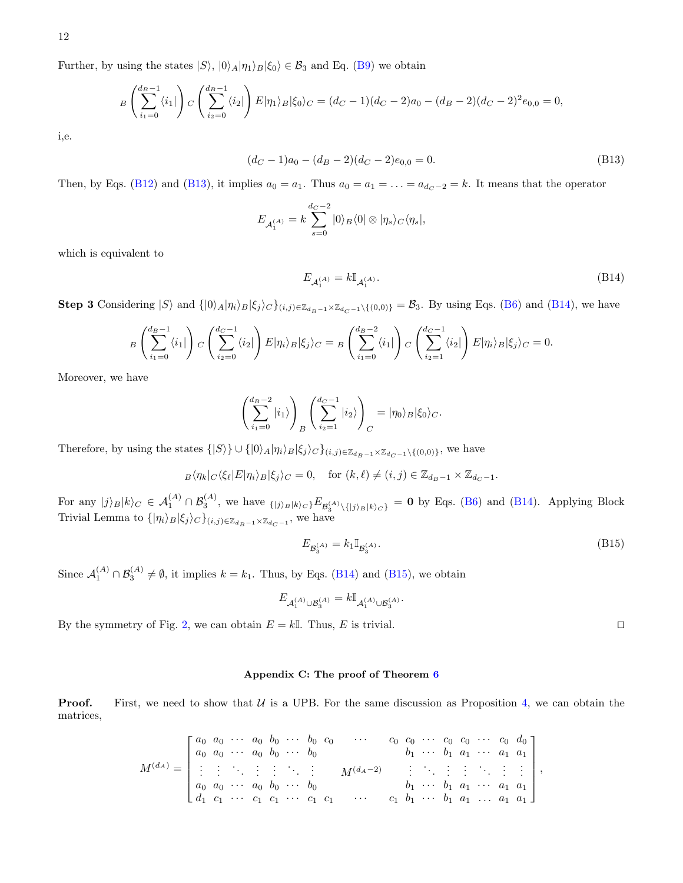Further, by using the states  $|S\rangle$ ,  $|0\rangle_A|\eta_1\rangle_B|\xi_0\rangle \in \mathcal{B}_3$  and Eq. [\(B9\)](#page-10-0) we obtain

$$
B\left(\sum_{i_1=0}^{d_B-1} \langle i_1|\right) C\left(\sum_{i_2=0}^{d_B-1} \langle i_2|\right) E|\eta_1\rangle_B|\xi_0\rangle_C = (d_C-1)(d_C-2)a_0 - (d_B-2)(d_C-2)^2 e_{0,0} = 0,
$$

i,e.

<span id="page-11-1"></span>
$$
(d_C - 1)a_0 - (d_B - 2)(d_C - 2)e_{0,0} = 0.
$$
\n(B13)

Then, by Eqs. [\(B12\)](#page-10-3) and [\(B13\)](#page-11-1), it implies  $a_0 = a_1$ . Thus  $a_0 = a_1 = \ldots = a_{d_C-2} = k$ . It means that the operator

$$
E_{\mathcal{A}_1^{(A)}} = k \sum_{s=0}^{d_C - 2} |0\rangle_B \langle 0| \otimes |\eta_s\rangle_C \langle \eta_s|,
$$

which is equivalent to

<span id="page-11-2"></span>
$$
E_{\mathcal{A}_1^{(A)}} = k \mathbb{I}_{\mathcal{A}_1^{(A)}}.
$$
 (B14)

Step 3 Considering  $|S\rangle$  and  $\{|0\rangle_A|\eta_i\rangle_B|\xi_j\rangle_C\}_{(i,j)\in\mathbb{Z}_{d_B-1}\times\mathbb{Z}_{d_C-1}\setminus\{(0,0)\}} = \mathcal{B}_3$ . By using Eqs. [\(B6\)](#page-9-3) and [\(B14\)](#page-11-2), we have

$$
{}_B\left(\sum_{i_1=0}^{d_B-1} \langle i_1|\right)_C \left(\sum_{i_2=0}^{d_C-1} \langle i_2|\right)_C E|\eta_i\rangle_B|\xi_j\rangle_C = {}_B\left(\sum_{i_1=0}^{d_B-2} \langle i_1|\right)_C \left(\sum_{i_2=1}^{d_C-1} \langle i_2|\right)_C E|\eta_i\rangle_B|\xi_j\rangle_C = 0.
$$

Moreover, we have

$$
\left(\sum_{i_1=0}^{d_B-2} |i_1\rangle\right)_B \left(\sum_{i_2=1}^{d_C-1} |i_2\rangle\right)_C = |\eta_0\rangle_B |\xi_0\rangle_C.
$$

Therefore, by using the states  $\{|S\rangle\} \cup \{|0\rangle_A|\eta_i\rangle_B|\xi_j\rangle_C\}_{(i,j)\in\mathbb{Z}_{d_B-1}\times\mathbb{Z}_{d_C-1}\setminus\{(0,0)\}}$ , we have

$$
B\langle \eta_k|_C\langle \xi_\ell|E|\eta_i\rangle_B|\xi_j\rangle_C=0, \quad \text{for } (k,\ell)\neq(i,j)\in\mathbb{Z}_{d_B-1}\times\mathbb{Z}_{d_C-1}.
$$

For any  $|j\rangle_B|k\rangle_C \in \mathcal{A}_1^{(A)} \cap \mathcal{B}_3^{(A)}$ , we have  $\{ |j\rangle_B|k\rangle_C\} \mathcal{E}_{\mathcal{B}_3^{(A)} \setminus \{|j\rangle_B|k\rangle_C\}} = \mathbf{0}$  by Eqs. [\(B6\)](#page-9-3) and [\(B14\)](#page-11-2). Applying Block Trivial Lemma to  $\{|\eta_i\rangle_B|\xi_j\rangle_C\}_{(i,j)\in\mathbb{Z}_{d_B-1}\times\mathbb{Z}_{d_C-1}}$ , we have

<span id="page-11-3"></span>
$$
E_{\mathcal{B}_3^{(A)}} = k_1 \mathbb{I}_{\mathcal{B}_3^{(A)}}.
$$
 (B15)

Since  $\mathcal{A}_1^{(A)} \cap \mathcal{B}_3^{(A)} \neq \emptyset$ , it implies  $k = k_1$ . Thus, by Eqs. [\(B14\)](#page-11-2) and [\(B15\)](#page-11-3), we obtain

$$
E_{\mathcal{A}_1^{(A)}\cup\mathcal{B}_3^{(A)}}=k\mathbb{I}_{{\mathcal{A}}_1^{(A)}\cup\mathcal{B}_3^{(A)}}.
$$

By the symmetry of Fig. [2,](#page-5-2) we can obtain  $E = k\mathbb{I}$ . Thus, E is trivial.

# <span id="page-11-0"></span>Appendix C: The proof of Theorem [6](#page-6-1)

**Proof.** First, we need to show that  $U$  is a UPB. For the same discussion as Proposition [4,](#page-5-0) we can obtain the matrices,

M(dA) = a<sup>0</sup> a<sup>0</sup> · · · a<sup>0</sup> b<sup>0</sup> · · · b<sup>0</sup> c<sup>0</sup> · · · c<sup>0</sup> c<sup>0</sup> · · · c<sup>0</sup> c<sup>0</sup> · · · c<sup>0</sup> d<sup>0</sup> a<sup>0</sup> a<sup>0</sup> · · · a<sup>0</sup> b<sup>0</sup> · · · b<sup>0</sup> b<sup>1</sup> · · · b<sup>1</sup> a<sup>1</sup> · · · a<sup>1</sup> a<sup>1</sup> . . . . . . . . . . . . . . . . . . . . . <sup>M</sup>(dA−2) . . . . . . . . . . . . . . . . . . . . . a<sup>0</sup> a<sup>0</sup> · · · a<sup>0</sup> b<sup>0</sup> · · · b<sup>0</sup> b<sup>1</sup> · · · b<sup>1</sup> a<sup>1</sup> · · · a<sup>1</sup> a<sup>1</sup> d<sup>1</sup> c<sup>1</sup> · · · c<sup>1</sup> c<sup>1</sup> · · · c<sup>1</sup> c<sup>1</sup> · · · c<sup>1</sup> b<sup>1</sup> · · · b<sup>1</sup> a<sup>1</sup> . . . a<sup>1</sup> a<sup>1</sup> ,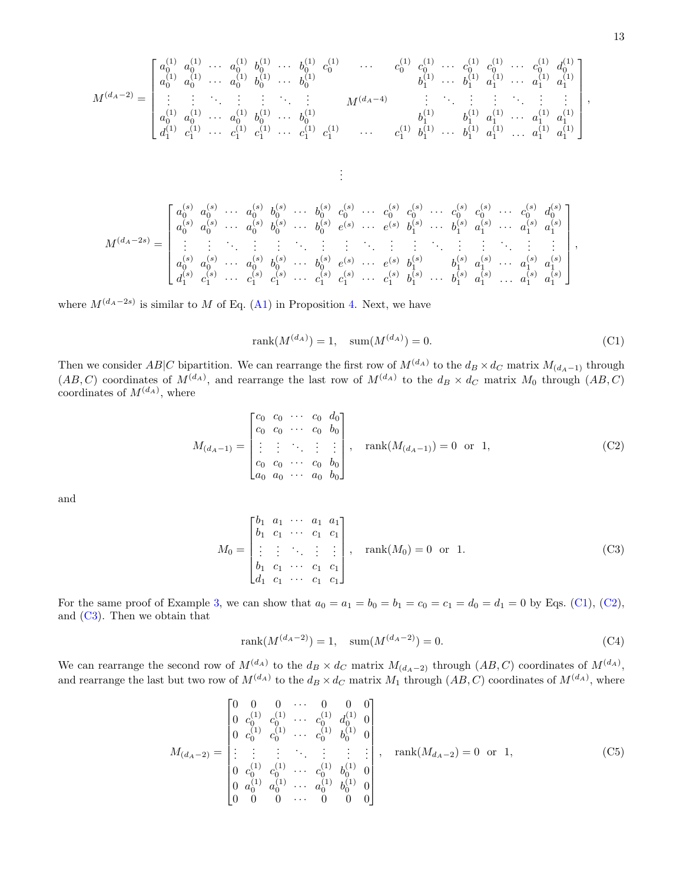M(dA−2) = a (1) 0 a (1) 0 · · · a (1) 0 b (1) 0 · · · b (1) 0 c (1) 0 · · · c (1) 0 c (1) 0 · · · c (1) 0 c (1) 0 · · · c (1) 0 d (1) 0 a (1) 0 a (1) 0 · · · a (1) 0 b (1) 0 · · · b (1) 0 b (1) 1 · · · b (1) 1 a (1) 1 · · · a (1) 1 a (1) 1 . . . . . . . . . . . . . . . . . . . . . <sup>M</sup>(dA−4) . . . . . . . . . . . . . . . . . . . . . a (1) 0 a (1) 0 · · · a (1) 0 b (1) 0 · · · b (1) 0 b (1) 1 b (1) 1 a (1) 1 · · · a (1) 1 a (1) 1 d (1) 1 c (1) 1 · · · c (1) 1 c (1) 1 · · · c (1) 1 c (1) 1 · · · c (1) 1 b (1) 1 · · · b (1) 1 a (1) 1 . . . a (1) 1 a (1) 1 , . . . M(dA−2s) = a (s) 0 a (s) 0 · · · a (s) 0 b (s) 0 · · · b (s) 0 c (s) 0 · · · c (s) 0 c (s) 0 · · · c (s) 0 c (s) 0 · · · c (s) 0 d (s) 0 a (s) 0 a (s) 0 · · · a (s) 0 b (s) 0 · · · b (s) 0 e (s) · · · e (s) b (s) 1 · · · b (s) 1 a (s) 1 · · · a (s) 1 a (s) 1 . . . . . . . . . . . . . . . . . . . . . . . . . . . . . . . . . . . . . . . . . . . . . . . . . . . a (s) 0 a (s) 0 · · · a (s) 0 b (s) 0 · · · b (s) 0 e (s) · · · e (s) b (s) 1 b (s) 1 a (s) 1 · · · a (s) 1 a (s) 1 d (s) 1 c (s) 1 · · · c (s) 1 c (s) 1 · · · c (s) 1 c (s) 1 · · · c (s) 1 b (s) 1 · · · b (s) 1 a (s) 1 . . . a (s) 1 a (s) 1 ,

where  $M^{(d_A-2s)}$  is similar to M of Eq. [\(A1\)](#page-7-3) in Proposition [4.](#page-5-0) Next, we have

<span id="page-12-0"></span>
$$
rank(M^{(d_A)}) = 1, \quad \text{sum}(M^{(d_A)}) = 0. \tag{C1}
$$

Then we consider  $AB|C$  bipartition. We can rearrange the first row of  $M^{(d_A)}$  to the  $d_B \times d_C$  matrix  $M_{(d_A-1)}$  through  $(AB, C)$  coordinates of  $M^{(d_A)}$ , and rearrange the last row of  $M^{(d_A)}$  to the  $d_B \times d_C$  matrix  $M_0$  through  $(AB, C)$ coordinates of  $M^{(d_A)}$ , where

<span id="page-12-1"></span>
$$
M_{(d_A-1)} = \begin{bmatrix} c_0 & c_0 & \cdots & c_0 & d_0 \\ c_0 & c_0 & \cdots & c_0 & b_0 \\ \vdots & \vdots & \ddots & \vdots & \vdots \\ c_0 & c_0 & \cdots & c_0 & b_0 \\ a_0 & a_0 & \cdots & a_0 & b_0 \end{bmatrix}, \quad \text{rank}(M_{(d_A-1)}) = 0 \quad \text{or} \quad 1,
$$
 (C2)

and

<span id="page-12-2"></span>
$$
M_0 = \begin{bmatrix} b_1 & a_1 & \cdots & a_1 & a_1 \\ b_1 & c_1 & \cdots & c_1 & c_1 \\ \vdots & \vdots & \ddots & \vdots & \vdots \\ b_1 & c_1 & \cdots & c_1 & c_1 \\ d_1 & c_1 & \cdots & c_1 & c_1 \end{bmatrix}, \quad \text{rank}(M_0) = 0 \quad \text{or} \quad 1.
$$
 (C3)

For the same proof of Example [3,](#page-3-0) we can show that  $a_0 = a_1 = b_0 = b_1 = c_0 = c_1 = d_0 = d_1 = 0$  by Eqs. [\(C1\)](#page-12-0), [\(C2\)](#page-12-1), and [\(C3\)](#page-12-2). Then we obtain that

<span id="page-12-3"></span>
$$
rank(M^{(d_A - 2)}) = 1, \quad sum(M^{(d_A - 2)}) = 0.
$$
\n(C4)

We can rearrange the second row of  $M^{(d_A)}$  to the  $d_B \times d_C$  matrix  $M_{(d_A-2)}$  through  $(AB, C)$  coordinates of  $M^{(d_A)}$ , and rearrange the last but two row of  $M^{(d_A)}$  to the  $d_B \times d_C$  matrix  $M_1$  through  $(AB, C)$  coordinates of  $M^{(d_A)}$ , where

<span id="page-12-4"></span>
$$
M_{(d_A-2)} = \begin{bmatrix} 0 & 0 & 0 & \cdots & 0 & 0 & 0 \\ 0 & c_0^{(1)} & c_0^{(1)} & \cdots & c_0^{(1)} & d_0^{(1)} & 0 \\ 0 & c_0^{(1)} & c_0^{(1)} & \cdots & c_0^{(1)} & b_0^{(1)} & 0 \\ \vdots & \vdots & \vdots & \ddots & \vdots & \vdots & \vdots \\ 0 & c_0^{(1)} & c_0^{(1)} & \cdots & c_0^{(1)} & b_0^{(1)} & 0 \\ 0 & a_0^{(1)} & a_0^{(1)} & \cdots & a_0^{(1)} & b_0^{(1)} & 0 \\ 0 & 0 & 0 & \cdots & 0 & 0 & 0 \end{bmatrix}, \text{ rank}(M_{d_A-2}) = 0 \text{ or } 1,
$$
 (C5)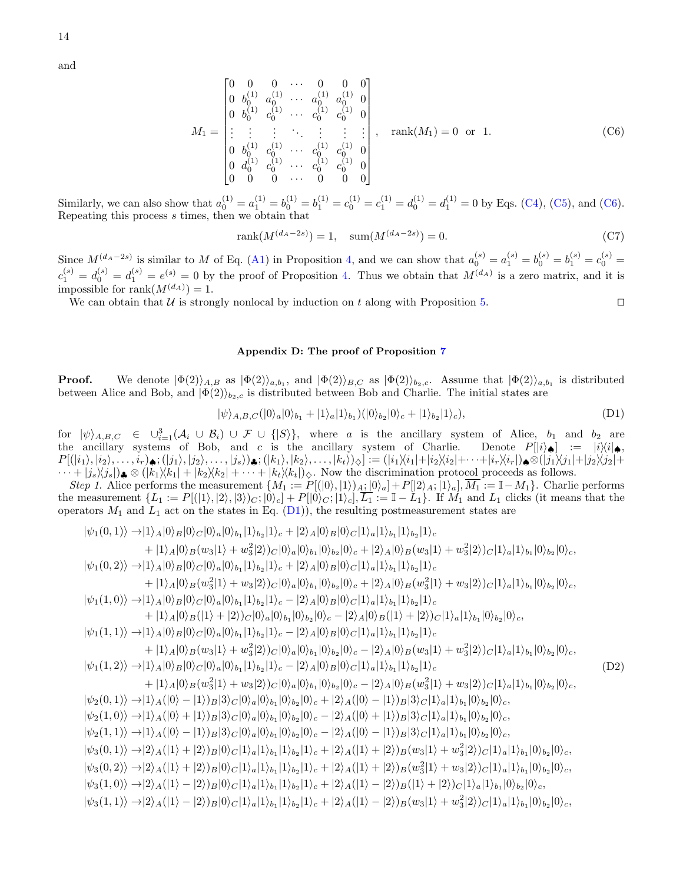14

and

<span id="page-13-1"></span>
$$
M_1 = \begin{bmatrix} 0 & 0 & 0 & \cdots & 0 & 0 & 0 \\ 0 & b_0^{(1)} & a_0^{(1)} & \cdots & a_0^{(1)} & a_0^{(1)} & 0 \\ 0 & b_0^{(1)} & c_0^{(1)} & \cdots & c_0^{(1)} & c_0^{(1)} & 0 \\ \vdots & \vdots & \vdots & \ddots & \vdots & \vdots & \vdots \\ 0 & b_0^{(1)} & c_0^{(1)} & \cdots & c_0^{(1)} & c_0^{(1)} & 0 \\ 0 & d_0^{(1)} & c_0^{(1)} & \cdots & c_0^{(1)} & c_0^{(1)} & 0 \\ 0 & 0 & 0 & \cdots & 0 & 0 & 0 \end{bmatrix}, \text{ rank}(M_1) = 0 \text{ or } 1.
$$
 (C6)

Similarly, we can also show that  $a_0^{(1)} = a_1^{(1)} = b_0^{(1)} = b_1^{(1)} = c_0^{(1)} = c_1^{(1)} = d_0^{(1)} = d_1^{(1)} = 0$  by Eqs. [\(C4\)](#page-12-3), [\(C5\)](#page-12-4), and [\(C6\)](#page-13-1). Repeating this process s times, then we obtain that

$$
rank(M^{(d_A - 2s)}) = 1, \quad sum(M^{(d_A - 2s)}) = 0.
$$
\n(C7)

Since  $M^{(d_A-2s)}$  is similar to M of Eq. [\(A1\)](#page-7-3) in Proposition [4,](#page-5-0) and we can show that  $a_0^{(s)} = a_1^{(s)} = b_0^{(s)} = b_1^{(s)} = c_0^{(s)} = c_0^{(s)}$  $c_1^{(s)} = d_0^{(s)} = d_1^{(s)} = e^{(s)} = 0$  by the proof of Proposition [4.](#page-5-0) Thus we obtain that  $M^{(d_A)}$  is a zero matrix, and it is impossible for rank $(M^{(d_A)}) = 1$ .

We can obtain that U is strongly nonlocal by induction on t along with Proposition [5.](#page-5-1)

# <span id="page-13-0"></span>Appendix D: The proof of Proposition [7](#page-7-2)

**Proof.** We denote  $|\Phi(2)\rangle_{A,B}$  as  $|\Phi(2)\rangle_{a,b_1}$ , and  $|\Phi(2)\rangle_{B,C}$  as  $|\Phi(2)\rangle_{b_2,c}$ . Assume that  $|\Phi(2)\rangle_{a,b_1}$  is distributed between Alice and Bob, and  $|\Phi(2)\rangle_{b_2,c}$  is distributed between Bob and Charlie. The initial states are

<span id="page-13-2"></span>
$$
|\psi\rangle_{A,B,C}(|0\rangle_a|0\rangle_{b_1}+|1\rangle_a|1\rangle_{b_1})(|0\rangle_{b_2}|0\rangle_c+|1\rangle_{b_2}|1\rangle_c),
$$
\n(D1)

for  $|\psi\rangle_{A,B,C} \in \bigcup_{i=1}^{3} (\mathcal{A}_i \cup \mathcal{B}_i) \cup \mathcal{F} \cup \{ |S \rangle \}$ , where a is the ancillary system of Alice,  $b_1$  and  $b_2$  are the ancillary systems of Bob, and c is the ancillary system of Charlie. Denote  $P[|i\rangle_{\bullet}] = |i\rangle\langle i|_{\bullet}$  $P[(|i_1\rangle,|i_2\rangle,\ldots,i_r)$ ش;  $(|j_1\rangle,|j_2\rangle,\ldots,|j_s\rangle)$ ش;  $(|k_1\rangle,|k_2\rangle,\ldots,|k_t\rangle)_{\diamondsuit}] := (|i_1\rangle\langle i_1|+|i_2\rangle\langle i_2|+\cdots+|i_r\rangle\langle i_r|)$ چ  $\cdots + |j_s\rangle\langle j_s|$ ,  $\otimes (|k_1\rangle\langle k_1| + |k_2\rangle\langle k_2| + \cdots + |k_t\rangle\langle k_t|)$ . Now the discrimination protocol proceeds as follows.

Step 1. Alice performs the measurement  $\{M_1 := P[(|0\rangle, |1\rangle)_A; |0\rangle_a] + P[|2\rangle_A; |1\rangle_a], \overline{M_1} := \mathbb{I} - M_1\}.$  Charlie performs the measurement  $\{L_1 := P[(|1\rangle, |2\rangle, |3\rangle)_C; |0\rangle_c] + P[|0\rangle_C; |1\rangle_c], \overline{L_1} := \mathbb{I} - L_1\}.$  If  $M_1$  and  $L_1$  clicks (it means that the operators  $M_1$  and  $L_1$  act on the states in Eq. [\(D1\)](#page-13-2)), the resulting postmeasurement states are

<span id="page-13-3"></span>
$$
|\psi_{1}(0,1)\rangle \rightarrow |1\rangle_{A}|0\rangle_{B}|0\rangle_{C}|0\rangle_{a}|0\rangle_{b_{1}}|1\rangle_{b_{2}}|1\rangle_{c} + |2\rangle_{A}|0\rangle_{B}|0\rangle_{C}|1\rangle_{a}|1\rangle_{b_{1}}|1\rangle_{b_{2}}|1\rangle_{c}
$$
  
+ |1\rangle\_{A}|0\rangle\_{B}(w\_{3}|1\rangle + w\_{3}^{2}|2\rangle)C|0\rangle\_{a}|0\rangle\_{b\_{1}}|0\rangle\_{b\_{2}}|0\rangle\_{c} + |2\rangle\_{A}|0\rangle\_{B}(w\_{3}|1\rangle + w\_{3}^{2}|2\rangle)C|1\rangle\_{a}|1\rangle\_{b\_{1}}|0\rangle\_{b\_{2}}|0\rangle\_{c},  
|\psi\_{1}(0,2)\rangle \rightarrow |1\rangle\_{A}|0\rangle\_{B}|0\rangle\_{C}|0\rangle\_{a}|0\rangle\_{b\_{1}}|1\rangle\_{b\_{2}}|1\rangle\_{c} + |2\rangle\_{A}|0\rangle\_{B}|0\rangle\_{C}|1\rangle\_{a}|1\rangle\_{b\_{1}}|1\rangle\_{b\_{2}}|1\rangle\_{c}  
+ |1\rangle\_{A}|0\rangle\_{B}|0\rangle\_{C}|0\rangle\_{a}|0\rangle\_{b\_{1}}|0\rangle\_{b\_{2}}|0\rangle\_{c} + |2\rangle\_{A}|0\rangle\_{B}|0\rangle\_{C}|1\rangle\_{a}|1\rangle\_{b\_{1}}|1\rangle\_{b\_{2}}|1\rangle\_{c}  
+ |1\rangle\_{A}|0\rangle\_{B}|0\rangle\_{C}|0\rangle\_{a}|0\rangle\_{b\_{1}}|1\rangle\_{b\_{2}}|1\rangle\_{c} - |2\rangle\_{A}|0\rangle\_{B}|0\rangle\_{C}|1\rangle\_{a}|1\rangle\_{b\_{1}}|1\rangle\_{b\_{2}}|1\rangle\_{c}  
+ |1\rangle\_{A}|0\rangle\_{B}|0\rangle\_{C}|0\rangle\_{a}|0\rangle\_{b\_{1}}|1\rangle\_{b\_{2}}|1\rangle\_{c} - |2\rangle\_{A}|0\rangle\_{B}|0\rangle\_{C}|1\rangle\_{a}|1\rangle\_{b\_{1}}|1\rangle\_{b\_{2}}|1\rangle\_{c}  
+ |1\rangle\_{A}|0\rangle\_{B}(w\_{3}|1\rangle + w\_{3}^{2}|2\rangle)C|0\rangle\_{a}|0\rangle\_{b\_{1}}|0\rangle\_{b\_{2}}|0\rangle\_{c} - |2\rangle\_{A}|0\rangle\_{B}(w\_{3}|1\rangle + w\_{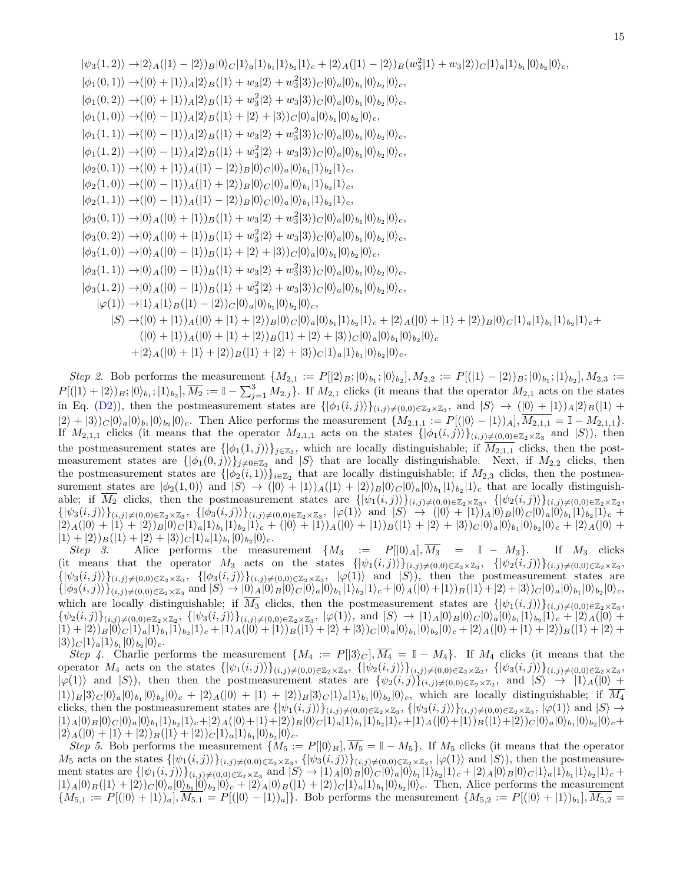$$
|\psi_{3}(1,2)\rangle \rightarrow |2\rangle_{A}(|1\rangle - |2\rangle)_{B}|0\rangle_{C}|1\rangle_{a}|1\rangle_{b_{1}}|1\rangle_{b_{2}}|1\rangle_{c} + |2\rangle_{A}(|1\rangle - |2\rangle)_{B}(w_{3}^{2}|1\rangle + w_{3}|2\rangle)_{C}|1\rangle_{a}|1\rangle_{b_{1}}|0\rangle_{b_{2}}|0\rangle_{c},
$$
  
\n
$$
|\phi_{1}(0,1)\rangle \rightarrow (|0\rangle + |1\rangle)_{A}|2\rangle_{B}(|1\rangle + w_{3}|2\rangle + w_{3}^{2}|3\rangle)_{C}|0\rangle_{a}|0\rangle_{b_{1}}|0\rangle_{b_{2}}|0\rangle_{c},
$$
  
\n
$$
|\phi_{1}(0,2)\rangle \rightarrow (|0\rangle + |1\rangle)_{A}|2\rangle_{B}(|1\rangle + w_{3}^{2}|2\rangle + w_{3}|3\rangle)_{C}|0\rangle_{a}|0\rangle_{b_{1}}|0\rangle_{b_{2}}|0\rangle_{c},
$$
  
\n
$$
|\phi_{1}(1,0)\rangle \rightarrow (|0\rangle - |1\rangle)_{A}|2\rangle_{B}(|1\rangle + w_{3}^{2}|2\rangle + w_{3}^{2}|3\rangle)_{C}|0\rangle_{a}|0\rangle_{b_{1}}|0\rangle_{b_{2}}|0\rangle_{c},
$$
  
\n
$$
|\phi_{1}(1,1)\rangle \rightarrow (|0\rangle - |1\rangle)_{A}|2\rangle_{B}(|1\rangle + w_{3}^{2}|2\rangle + w_{3}|3\rangle)_{C}|0\rangle_{a}|0\rangle_{b_{1}}|0\rangle_{b_{2}}|0\rangle_{c},
$$
  
\n
$$
|\phi_{2}(0,1)\rangle \rightarrow (|0\rangle - |1\rangle)_{A}(|1\rangle - |2\rangle)_{B}|0\rangle_{C}|0\rangle_{a}|0\rangle_{b_{1}}|1\rangle_{b_{2}}|1\rangle_{c},
$$
  
\n
$$
|\phi_{2}(1,0)\rangle \rightarrow (|0\rangle - |1\rangle)_{A}(|1\rangle - |2\rangle)_{B}|0\rangle_{C}|0\rangle_{a}|0\rangle_{b_{1}}|1\rangle_{b_{2}}|1\rangle_{c},
$$
  
\n
$$
|\phi_{3}(0,1)\rangle \rightarrow |0\rangle_{A}|0\rangle + |1
$$

Step 2. Bob performs the measurement  $\{M_{2,1} := P[|2\rangle_B; |0\rangle_{b_1}; |0\rangle_{b_2}], M_{2,2} := P[ (|1\rangle - |2\rangle)_B; |0\rangle_{b_1}; |1\rangle_{b_2}], M_{2,3} :=$  $P[(|1\rangle+|2\rangle)_B;|0\rangle_{b_1};|1\rangle_{b_2}],\overline{M_2}:=\mathbb{I}-\sum_{j=1}^3 M_{2,j}\}.$  If  $M_{2,1}$  clicks (it means that the operator  $M_{2,1}$  acts on the states in Eq. [\(D2\)](#page-13-3)), then the postmeasurement states are  $\{\ket{\phi_1(i,j)}\}_{(i,j)\neq(0,0)\in\mathbb{Z}_2\times\mathbb{Z}_3}$ , and  $\ket{S}\rightarrow (\ket{0}+\ket{1})_A\ket{2}_B(\ket{1}+\ket{1})_B$  $|2\rangle + |3\rangle_C |0\rangle_a |0\rangle_b|0\rangle_b|0\rangle_c$ . Then Alice performs the measurement  $\{M_{2,1,1} := P[(|0\rangle - |1\rangle)_A], \overline{M_{2,1,1}} = \mathbb{I} - M_{2,1,1}\}.$ If  $M_{2,1,1}$  clicks (it means that the operator  $M_{2,1,1}$  acts on the states  $\{\ket{\phi_1(i,j)}\}_{(i,j)\neq(0,0)\in\mathbb{Z}_2\times\mathbb{Z}_3}$  and  $\ket{S}$ ), then the postmeasurement states are  $\{\phi_1(1,j)\}\mathcal{z}_{\mathbb{Z}_3}$ , which are locally distinguishable; if  $M_{2,1,1}$  clicks, then the postmeasurement states are  $\{|\phi_1(0,j)\rangle\}_{j\neq 0\in \mathbb{Z}_3}$  and  $|S\rangle$  that are locally distinguishable. Next, if  $M_{2,2}$  clicks, then the postmeasurement states are  $\{\ket{\phi_2(i,1)}\}_{i\in\mathbb{Z}_2}$  that are locally distinguishable; if  $M_{2,3}$  clicks, then the postmeasurement states are  $|\phi_2(1,0)\rangle$  and  $|S\rangle \rightarrow (|0\rangle + |1\rangle)_A(|1\rangle + |2\rangle)_B |0\rangle_C |0\rangle_a |0\rangle_b|1\rangle_b|1\rangle_b|1\rangle_c$  that are locally distinguishable; if  $M_2$  clicks, then the postmeasurement states are  $\{|\psi_1(i,j)\rangle\}_{(i,j)\neq(0,0)\in\mathbb{Z}_2\times\mathbb{Z}_3}$ ,  $\{|\psi_2(i,j)\rangle\}_{(i,j)\neq(0,0)\in\mathbb{Z}_2\times\mathbb{Z}_2}$ ,  $\{\ket{\psi_3(i,j)}\}_{(i,j)\neq(0,0)\in\mathbb{Z}_2\times\mathbb{Z}_3},\ \{\ket{\phi_3(i,j)}\}_{(i,j)\neq(0,0)\in\mathbb{Z}_2\times\mathbb{Z}_3},\ \ket{\varphi(1)}\text{ and }\ket{S}\rightarrow(\ket{0}+\ket{1})_A\ket{0}_B\ket{0}_C\ket{0}_a\ket{0}_b,\ket{1}_b_2\ket{1}_c+\ket{1}_b\ket{0}_B\ket{0}_C\ket{1}_b$  $|2\rangle_A(|0\rangle+|1\rangle+|2\rangle_B|0\rangle_C|1\rangle_a|1\rangle_{b_1}|1\rangle_{b_2}|1\rangle_c + (|0\rangle+|1\rangle)_A(|0\rangle+|1\rangle)_B(|1\rangle+|2\rangle+|3\rangle)_C|0\rangle_a|0\rangle_{b_1}|0\rangle_{b_2}|0\rangle_c + |2\rangle_A(|0\rangle+|1\rangle_A|1\rangle_{b_2}|1\rangle_c$  $|1\rangle + |2\rangle_B(|1\rangle + |2\rangle + |3\rangle_C|1\rangle_a|1\rangle_b|0\rangle_b|0\rangle_c.$ 

Step 3. Alice performs the measurement  $\{M_3 : = P[|0\rangle_A, \overline{M_3} = I - M_3\}.$  If  $M_3$  clicks (it means that the operator  $M_3$  acts on the states  $\{\ket{\psi_1(i,j)}\}_{(i,j)\neq(0,0)\in\mathbb{Z}_2\times\mathbb{Z}_3}$ ,  $\{\ket{\psi_2(i,j)}\}_{(i,j)\neq(0,0)\in\mathbb{Z}_2\times\mathbb{Z}_2}$ ,  $\{\ket{\psi_3(i,j)}\}_{(i,j)\neq(0,0)}\in\mathbb{Z}_2\times\mathbb{Z}_3$ ,  $\{\ket{\phi_3(i,j)}\}_{(i,j)\neq(0,0)}\in\mathbb{Z}_2\times\mathbb{Z}_3$ ,  $\ket{\varphi(1)}$  and  $\ket{S}$ ), then the postmeasurement states are  $\{\ket{\phi_3(i,j)}\}_{(i,j)\neq(0,0)}\in\mathbb{Z}_2\times\mathbb{Z}_3$  and  $\ket{S}\rightarrow\ket{0}_A\ket{0}_B\ket{0}_C\ket{0}_a\ket{0}_b_1\ket{1}_b_2\ket{1}_c+\ket{0}_A(\ket{0}+\ket{1}_B(\ket{1}+\ket{2}+\ket{3})_C\ket{0}_a\ket{0}_b_1\ket{0}_b_2\ket{0}_c$ which are locally distinguishable; if  $M_3$  clicks, then the postmeasurement states are  $\{|\psi_1(i,j)\rangle\}_{(i,j)\neq(0,0)\in\mathbb{Z}_2\times\mathbb{Z}_3}$ ,  $\{\psi_2(i,j)\}_{(i,j)\neq(0,0)\in\mathbb{Z}_2\times\mathbb{Z}_2}$ ,  $\{\ket{\psi_3(i,j)}\}_{(i,j)\neq(0,0)\in\mathbb{Z}_2\times\mathbb{Z}_3}$ ,  $\ket{\varphi(1)}$ , and  $\ket{S}\rightarrow\ket{1}_A\ket{0}_B\ket{0}_C\ket{0}_a\ket{0}_b\ket{1}_b\ket{1}_c + \ket{2}_A(\ket{0}_b)$  $|1\rangle + |2\rangle_B |0\rangle_C |1\rangle_a |1\rangle_b|1\rangle_b|1\rangle_c + |1\rangle_A(|0\rangle + |1\rangle_B(|1\rangle + |2\rangle + |3\rangle_C |0\rangle_a |0\rangle_b|0\rangle_c + |2\rangle_A(|0\rangle + |1\rangle + |2\rangle)_B(|1\rangle + |2\rangle + |1\rangle_B(|1\rangle + |2\rangle_B |0\rangle_c + |1\rangle_A|0\rangle_b)$  $|3\rangle\big)_C|1\rangle_a|1\rangle_{b_1}|0\rangle_{b_2}|0\rangle_c.$ 

Step 4. Charlie performs the measurement  $\{M_4 := P[|3\rangle_C], \overline{M_4} = \mathbb{I} - M_4\}$ . If  $M_4$  clicks (it means that the operator  $M_4$  acts on the states  $\{\ket{\psi_1(i,j)}\}_{(i,j)\neq(0,0)}\in\mathbb{Z}_2\times\mathbb{Z}_3$ ,  $\{\ket{\psi_2(i,j)}\}_{(i,j)\neq(0,0)}\in\mathbb{Z}_2\times\mathbb{Z}_2$ ,  $\{\ket{\psi_3(i,j)}\}_{(i,j)\neq(0,0)}\in\mathbb{Z}_2\times\mathbb{Z}_3$ ,  $|\varphi(1)\rangle$  and  $|S\rangle$ ), then then the postmeasurement states are  $\{\psi_2(i,j)\}_{(i,j)\neq(0,0)\in\mathbb{Z}_2\times\mathbb{Z}_2}$ , and  $|S\rangle \rightarrow |1\rangle_A(|0\rangle +$  $|1\rangle_B|3\rangle_C|0\rangle_a|0\rangle_b|0\rangle_b|0\rangle_c + |2\rangle_A(|0\rangle + |1\rangle + |2\rangle_B|3\rangle_C|1\rangle_a|1\rangle_b|0\rangle_b|0\rangle_c$ , which are locally distinguishable; if  $M_4$ clicks, then the postmeasurement states are  $\{\ket{\psi_1(i,j)}\}_{(i,j)\neq(0,0)\in\mathbb{Z}_2\times\mathbb{Z}_3}$ ,  $\{\ket{\psi_3(i,j)}\}_{(i,j)\neq(0,0)\in\mathbb{Z}_2\times\mathbb{Z}_3}$ ,  $\ket{\varphi(1)}$  and  $\ket{S}$  $|1\rangle_A |0\rangle_B |0\rangle_C |0\rangle_a |0\rangle_b_1 |1\rangle_b{}_2 |1\rangle_c + |2\rangle_A (|0\rangle + |1\rangle + |2\rangle)_B |0\rangle_C |1\rangle_a |1\rangle_b{}_1 |1\rangle_b{}_2 |1\rangle_c + |1\rangle_A (|0\rangle + |1\rangle)_B (|1\rangle + |2\rangle)_C |0\rangle_a |0\rangle_b{}_1 |0\rangle_b{}_2 |0\rangle_c +$  $|2\rangle_A(|0\rangle+|1\rangle+|2\rangle_B(|1\rangle+|2\rangle)c|1\rangle_a|1\rangle_{b_1}|0\rangle_{b_2}|0\rangle_c.$ 

Step 5. Bob performs the measurement  $\{M_5 := P[|0\rangle_B, \overline{M_5} = \mathbb{I} - M_5\}$ . If  $M_5$  clicks (it means that the operator  $M_5$  acts on the states  $\{\ket{\psi_1(i,j)}\}_{(i,j)\neq(0,0)\in\mathbb{Z}_2\times\mathbb{Z}_3}$ ,  $\{\ket{\psi_3(i,j)}\}_{(i,j)\neq(0,0)\in\mathbb{Z}_2\times\mathbb{Z}_3}$ ,  $\ket{\varphi(1)}$  and  $\ket{S}$ , then the postmeasurement states are  $\{| \psi_1(i,j) \rangle \}_{(i,j) \neq (0,0) \in \mathbb{Z}_2 \times \mathbb{Z}_3}$  and  $|S \rangle \rightarrow |1 \rangle_A |0 \rangle_B |0 \rangle_C |0 \rangle_a |0 \rangle_b |1 \rangle_{b_2} |1 \rangle_c + |2 \rangle_A |0 \rangle_B |0 \rangle_C |1 \rangle_a |1 \rangle_{b_1} |1 \rangle_{b_2} |1 \rangle_c +$  $|1\rangle_A|0\rangle_B(|1\rangle+|2\rangle_C|0\rangle_a|0\rangle_b|0\rangle_c+|2\rangle_A|0\rangle_B(|1\rangle+|2\rangle_C|1\rangle_a|1\rangle_b|0\rangle_b|0\rangle_c$ . Then, Alice performs the measurement  ${M_{5,1} := P[(|0\rangle + |1\rangle)_a], M_{5,1} = P[(|0\rangle - |1\rangle)_a]}$ . Bob performs the measurement  ${M_{5,2} := P[(|0\rangle + |1\rangle)_b], M_{5,2}} =$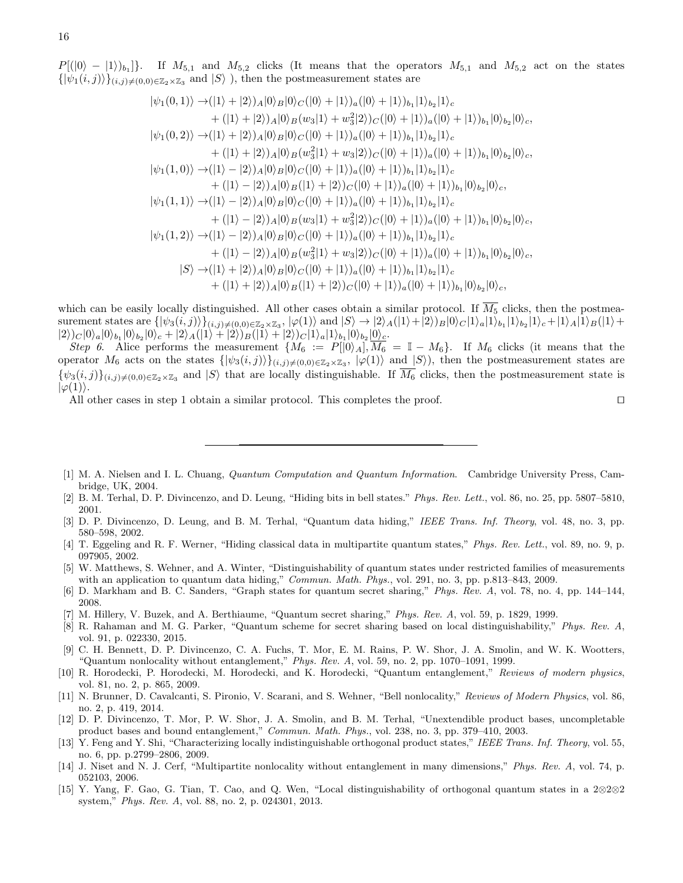$P[(0) - (1))_{b_1}$ . If  $M_{5,1}$  and  $M_{5,2}$  clicks (It means that the operators  $M_{5,1}$  and  $M_{5,2}$  act on the states  $\{\ket{\psi_1(i,j)}\}_{(i,j)\neq(0,0)}\in\mathbb{Z}_2\times\mathbb{Z}_3$  and  $\ket{S}$ ), then the postmeasurement states are

$$
|\psi_1(0,1)\rangle \rightarrow (|1\rangle + |2\rangle)_{A}|0\rangle_{B}|0\rangle_{C}(|0\rangle + |1\rangle)_{a}(|0\rangle + |1\rangle)_{b_1}|1\rangle_{b_2}|1\rangle_{c} + (|1\rangle + |2\rangle)_{A}|0\rangle_{B}(w_{3}|1\rangle + w_{3}^{2}|2\rangle)_{C}(|0\rangle + |1\rangle)_{a}(|0\rangle + |1\rangle)_{b_1}|0\rangle_{b_2}|0\rangle_{c}, |\psi_1(0,2)\rangle \rightarrow (|1\rangle + |2\rangle)_{A}|0\rangle_{B}|0\rangle_{C}(|0\rangle + |1\rangle)_{a}(|0\rangle + |1\rangle)_{b_1}|1\rangle_{b_2}|1\rangle_{c} + (|1\rangle + |2\rangle)_{A}|0\rangle_{B}|0\rangle_{C}(|0\rangle + |1\rangle)_{a}(|0\rangle + |1\rangle)_{a}(|0\rangle + |1\rangle)_{b_1}|0\rangle_{b_2}|0\rangle_{c}, |\psi_1(1,0)\rangle \rightarrow (|1\rangle - |2\rangle)_{A}|0\rangle_{B}|0\rangle_{C}(|0\rangle + |1\rangle)_{a}(|0\rangle + |1\rangle)_{b_1}|1\rangle_{b_2}|1\rangle_{c} + (|1\rangle - |2\rangle)_{A}|0\rangle_{B}|0\rangle_{C}(|0\rangle + |1\rangle)_{a}(|0\rangle + |1\rangle)_{b_1}|0\rangle_{b_2}|0\rangle_{c}, |\psi_1(1,1)\rangle \rightarrow (|1\rangle - |2\rangle)_{A}|0\rangle_{B}|0\rangle_{C}(|0\rangle + |1\rangle)_{a}(|0\rangle + |1\rangle)_{b_1}|1\rangle_{b_2}|1\rangle_{c} + (|1\rangle - |2\rangle)_{A}|0\rangle_{B}|0\rangle_{C}(|0\rangle + |1\rangle)_{a}(|0\rangle + |1\rangle)_{b_1}|0\rangle_{b_2}|0\rangle_{c}, |\psi_1(1,2)\rangle \rightarrow (|1\rangle - |2\rangle)_{A}|0\rangle_{B}|0\rangle_{C}(|0\rangle + |1\rangle)_{a}(|0\rangle + |1\rangle)_{b_1}|1\rangle_{b_2}|1\rangle_{c} + (|1\rangle - |2\rangle)_{A}|0\rangle_{B}|0\rangle_{C}(|0\rangle +
$$

which can be easily locally distinguished. All other cases obtain a similar protocol. If  $\overline{M_5}$  clicks, then the postmeasurement states are  $\{\ket{\psi_3(i,j)}\}_{(i,j)\neq(0,0)\in\mathbb{Z}_2\times\mathbb{Z}_3}, \ket{\varphi(1)}$  and  $\ket{S}\rightarrow\ket{2}_A(\ket{1}+\ket{2}_B\ket{0}_C\ket{1}_a\ket{1}_b_1\ket{1}_b_2\ket{1}_c+\ket{1}_A\ket{1}_B(\ket{1}+\ket{1}_b)$  $|2\rangle_C|0\rangle_a|0\rangle_b|0\rangle_b_2|0\rangle_c + |2\rangle_A(|1\rangle + |2\rangle)_B(|1\rangle + |2\rangle)_C|1\rangle_a|1\rangle_b|0\rangle_b_2|\frac{0\rangle_c}{c}.$ 

Step 6. Alice performs the measurement  $\{M_6 := P[|0\rangle_A], \overline{M_6} = \mathbb{I} - M_6\}$ . If  $M_6$  clicks (it means that the operator  $M_6$  acts on the states  $\{\ket{\psi_3(i,j)}\}_{(i,j)\neq(0,0)\in\mathbb{Z}_2\times\mathbb{Z}_3}$ ,  $\ket{\varphi(1)}$  and  $\ket{S}$ ), then the postmeasurement states are  $\{\psi_3(i,j)\}_{(i,j)\neq(0,0)\in\mathbb{Z}_2\times\mathbb{Z}_3}$  and  $|S\rangle$  that are locally distinguishable. If  $M_6$  clicks, then the postmeasurement state is  $|\varphi(1)\rangle$ .

All other cases in step 1 obtain a similar protocol. This completes the proof.  $\square$ 

- <span id="page-15-0"></span>[1] M. A. Nielsen and I. L. Chuang, Quantum Computation and Quantum Information. Cambridge University Press, Cambridge, UK, 2004.
- <span id="page-15-1"></span>[2] B. M. Terhal, D. P. Divincenzo, and D. Leung, "Hiding bits in bell states." Phys. Rev. Lett., vol. 86, no. 25, pp. 5807–5810, 2001.
- [3] D. P. Divincenzo, D. Leung, and B. M. Terhal, "Quantum data hiding," IEEE Trans. Inf. Theory, vol. 48, no. 3, pp. 580–598, 2002.
- [4] T. Eggeling and R. F. Werner, "Hiding classical data in multipartite quantum states," Phys. Rev. Lett., vol. 89, no. 9, p. 097905, 2002.
- <span id="page-15-2"></span>[5] W. Matthews, S. Wehner, and A. Winter, "Distinguishability of quantum states under restricted families of measurements with an application to quantum data hiding," *Commun. Math. Phys.*, vol. 291, no. 3, pp. p.813–843, 2009.
- <span id="page-15-3"></span>[6] D. Markham and B. C. Sanders, "Graph states for quantum secret sharing," Phys. Rev. A, vol. 78, no. 4, pp. 144–144, 2008.
- [7] M. Hillery, V. Buzek, and A. Berthiaume, "Quantum secret sharing," Phys. Rev. A, vol. 59, p. 1829, 1999.
- <span id="page-15-4"></span>[8] R. Rahaman and M. G. Parker, "Quantum scheme for secret sharing based on local distinguishability," Phys. Rev. A, vol. 91, p. 022330, 2015.
- <span id="page-15-5"></span>[9] C. H. Bennett, D. P. Divincenzo, C. A. Fuchs, T. Mor, E. M. Rains, P. W. Shor, J. A. Smolin, and W. K. Wootters, "Quantum nonlocality without entanglement," Phys. Rev. A, vol. 59, no. 2, pp. 1070–1091, 1999.
- <span id="page-15-6"></span>[10] R. Horodecki, P. Horodecki, M. Horodecki, and K. Horodecki, "Quantum entanglement," Reviews of modern physics, vol. 81, no. 2, p. 865, 2009.
- <span id="page-15-7"></span>[11] N. Brunner, D. Cavalcanti, S. Pironio, V. Scarani, and S. Wehner, "Bell nonlocality," Reviews of Modern Physics, vol. 86, no. 2, p. 419, 2014.
- <span id="page-15-8"></span>[12] D. P. Divincenzo, T. Mor, P. W. Shor, J. A. Smolin, and B. M. Terhal, "Unextendible product bases, uncompletable product bases and bound entanglement," Commun. Math. Phys., vol. 238, no. 3, pp. 379–410, 2003.
- [13] Y. Feng and Y. Shi, "Characterizing locally indistinguishable orthogonal product states," IEEE Trans. Inf. Theory, vol. 55, no. 6, pp. p.2799–2806, 2009.
- [14] J. Niset and N. J. Cerf, "Multipartite nonlocality without entanglement in many dimensions," Phys. Rev. A, vol. 74, p. 052103, 2006.
- [15] Y. Yang, F. Gao, G. Tian, T. Cao, and Q. Wen, "Local distinguishability of orthogonal quantum states in a 2⊗2⊗2 system," Phys. Rev. A, vol. 88, no. 2, p. 024301, 2013.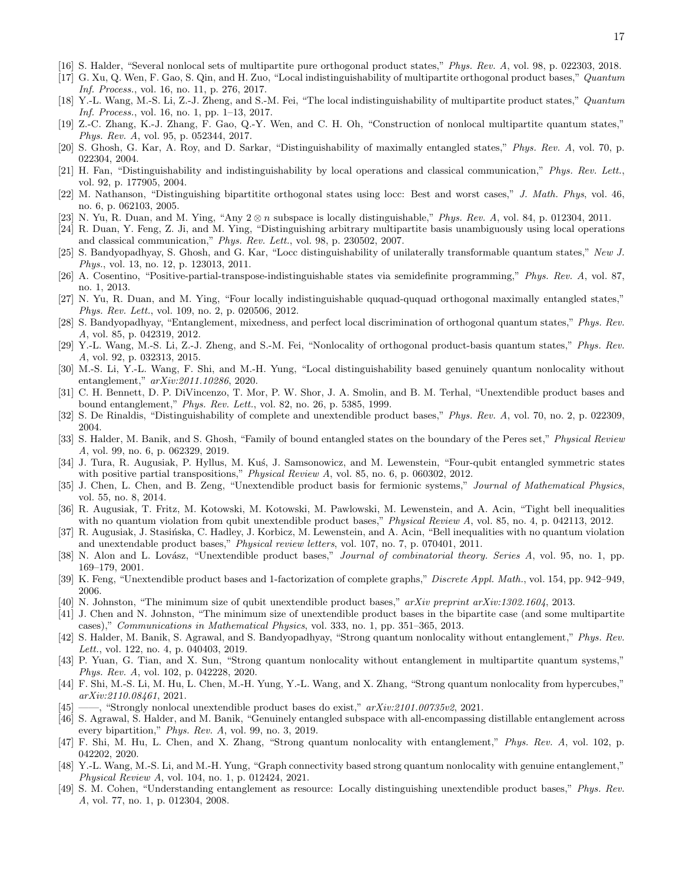- [16] S. Halder, "Several nonlocal sets of multipartite pure orthogonal product states," Phys. Rev. A, vol. 98, p. 022303, 2018.
- [17] G. Xu, Q. Wen, F. Gao, S. Qin, and H. Zuo, "Local indistinguishability of multipartite orthogonal product bases," Quantum Inf. Process., vol. 16, no. 11, p. 276, 2017.
- [18] Y.-L. Wang, M.-S. Li, Z.-J. Zheng, and S.-M. Fei, "The local indistinguishability of multipartite product states," Quantum Inf. Process., vol. 16, no. 1, pp. 1–13, 2017.
- [19] Z.-C. Zhang, K.-J. Zhang, F. Gao, Q.-Y. Wen, and C. H. Oh, "Construction of nonlocal multipartite quantum states," Phys. Rev. A, vol. 95, p. 052344, 2017.
- [20] S. Ghosh, G. Kar, A. Roy, and D. Sarkar, "Distinguishability of maximally entangled states," Phys. Rev. A, vol. 70, p. 022304, 2004.
- [21] H. Fan, "Distinguishability and indistinguishability by local operations and classical communication," Phys. Rev. Lett., vol. 92, p. 177905, 2004.
- [22] M. Nathanson, "Distinguishing bipartitite orthogonal states using locc: Best and worst cases," J. Math. Phys, vol. 46, no. 6, p. 062103, 2005.
- [23] N. Yu, R. Duan, and M. Ying, "Any  $2 \otimes n$  subspace is locally distinguishable," Phys. Rev. A, vol. 84, p. 012304, 2011.
- [24] R. Duan, Y. Feng, Z. Ji, and M. Ying, "Distinguishing arbitrary multipartite basis unambiguously using local operations and classical communication," Phys. Rev. Lett., vol. 98, p. 230502, 2007.
- [25] S. Bandyopadhyay, S. Ghosh, and G. Kar, "Locc distinguishability of unilaterally transformable quantum states," New J. Phys., vol. 13, no. 12, p. 123013, 2011.
- [26] A. Cosentino, "Positive-partial-transpose-indistinguishable states via semidefinite programming," Phys. Rev. A, vol. 87, no. 1, 2013.
- [27] N. Yu, R. Duan, and M. Ying, "Four locally indistinguishable ququad-ququad orthogonal maximally entangled states," Phys. Rev. Lett., vol. 109, no. 2, p. 020506, 2012.
- [28] S. Bandyopadhyay, "Entanglement, mixedness, and perfect local discrimination of orthogonal quantum states," Phys. Rev. A, vol. 85, p. 042319, 2012.
- [29] Y.-L. Wang, M.-S. Li, Z.-J. Zheng, and S.-M. Fei, "Nonlocality of orthogonal product-basis quantum states," Phys. Rev. A, vol. 92, p. 032313, 2015.
- <span id="page-16-0"></span>[30] M.-S. Li, Y.-L. Wang, F. Shi, and M.-H. Yung, "Local distinguishability based genuinely quantum nonlocality without entanglement," arXiv:2011.10286, 2020.
- <span id="page-16-1"></span>[31] C. H. Bennett, D. P. DiVincenzo, T. Mor, P. W. Shor, J. A. Smolin, and B. M. Terhal, "Unextendible product bases and bound entanglement," Phys. Rev. Lett., vol. 82, no. 26, p. 5385, 1999.
- <span id="page-16-2"></span>[32] S. De Rinaldis, "Distinguishability of complete and unextendible product bases," Phys. Rev. A, vol. 70, no. 2, p. 022309, 2004.
- <span id="page-16-3"></span>[33] S. Halder, M. Banik, and S. Ghosh, "Family of bound entangled states on the boundary of the Peres set," *Physical Review* A, vol. 99, no. 6, p. 062329, 2019.
- <span id="page-16-4"></span>[34] J. Tura, R. Augusiak, P. Hyllus, M. Kus, J. Samsonowicz, and M. Lewenstein, "Four-qubit entangled symmetric states with positive partial transpositions," *Physical Review A*, vol. 85, no. 6, p. 060302, 2012.
- [35] J. Chen, L. Chen, and B. Zeng, "Unextendible product basis for fermionic systems," Journal of Mathematical Physics, vol. 55, no. 8, 2014.
- [36] R. Augusiak, T. Fritz, M. Kotowski, M. Kotowski, M. Pawlowski, M. Lewenstein, and A. Acin, "Tight bell inequalities with no quantum violation from qubit unextendible product bases," Physical Review A, vol. 85, no. 4, p. 042113, 2012.
- <span id="page-16-5"></span>[37] R. Augusiak, J. Stasińska, C. Hadley, J. Korbicz, M. Lewenstein, and A. Acin, "Bell inequalities with no quantum violation and unextendable product bases," Physical review letters, vol. 107, no. 7, p. 070401, 2011.
- <span id="page-16-6"></span>[38] N. Alon and L. Lovász, "Unextendible product bases," *Journal of combinatorial theory. Series A*, vol. 95, no. 1, pp. 169–179, 2001.
- [39] K. Feng, "Unextendible product bases and 1-factorization of complete graphs," Discrete Appl. Math., vol. 154, pp. 942–949, 2006.
- [40] N. Johnston, "The minimum size of qubit unextendible product bases," arXiv preprint arXiv:1302.1604, 2013.
- <span id="page-16-7"></span>[41] J. Chen and N. Johnston, "The minimum size of unextendible product bases in the bipartite case (and some multipartite cases)," Communications in Mathematical Physics, vol. 333, no. 1, pp. 351–365, 2013.
- <span id="page-16-8"></span>[42] S. Halder, M. Banik, S. Agrawal, and S. Bandyopadhyay, "Strong quantum nonlocality without entanglement," Phys. Rev. Lett., vol. 122, no. 4, p. 040403, 2019.
- <span id="page-16-9"></span>[43] P. Yuan, G. Tian, and X. Sun, "Strong quantum nonlocality without entanglement in multipartite quantum systems," Phys. Rev. A, vol. 102, p. 042228, 2020.
- <span id="page-16-10"></span>[44] F. Shi, M.-S. Li, M. Hu, L. Chen, M.-H. Yung, Y.-L. Wang, and X. Zhang, "Strong quantum nonlocality from hypercubes," arXiv:2110.08461, 2021.
- <span id="page-16-11"></span>[45] ——, "Strongly nonlocal unextendible product bases do exist,"  $arXiv:2101.00735v2$ , 2021.
- <span id="page-16-12"></span>[46] S. Agrawal, S. Halder, and M. Banik, "Genuinely entangled subspace with all-encompassing distillable entanglement across every bipartition," Phys. Rev. A, vol. 99, no. 3, 2019.
- <span id="page-16-13"></span>[47] F. Shi, M. Hu, L. Chen, and X. Zhang, "Strong quantum nonlocality with entanglement," Phys. Rev. A, vol. 102, p. 042202, 2020.
- <span id="page-16-14"></span>[48] Y.-L. Wang, M.-S. Li, and M.-H. Yung, "Graph connectivity based strong quantum nonlocality with genuine entanglement," Physical Review A, vol. 104, no. 1, p. 012424, 2021.
- <span id="page-16-15"></span>[49] S. M. Cohen, "Understanding entanglement as resource: Locally distinguishing unextendible product bases," Phys. Rev. A, vol. 77, no. 1, p. 012304, 2008.